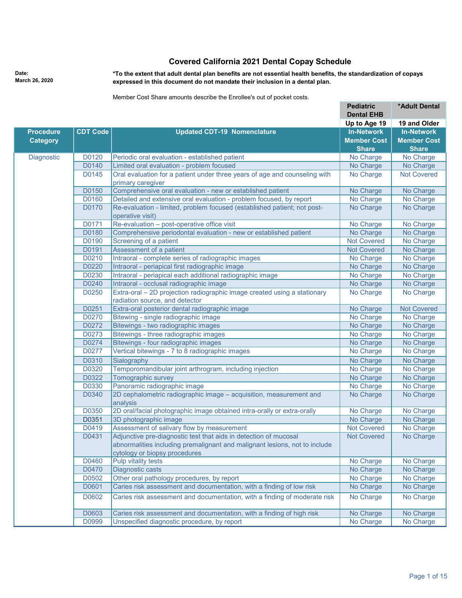## **Covered California 2021 Dental Copay Schedule**

**Date: March 26, 2020** **\*To the extent that adult dental plan benefits are not essential health benefits, the standardization of copays expressed in this document do not mandate their inclusion in a dental plan.**

Member Cost Share amounts describe the Enrollee's out of pocket costs.

|                  |                 |                                                                                             | <b>Pediatric</b>          | *Adult Dental                   |
|------------------|-----------------|---------------------------------------------------------------------------------------------|---------------------------|---------------------------------|
|                  |                 |                                                                                             | <b>Dental EHB</b>         |                                 |
|                  |                 |                                                                                             | Up to Age 19              | 19 and Older                    |
| <b>Procedure</b> | <b>CDT Code</b> | <b>Updated CDT-19 Nomenclature</b>                                                          | <b>In-Network</b>         | <b>In-Network</b>               |
| <b>Category</b>  |                 |                                                                                             | <b>Member Cost</b>        | <b>Member Cost</b>              |
| Diagnostic       |                 |                                                                                             | <b>Share</b><br>No Charge | <b>Share</b><br>No Charge       |
|                  | D0120<br>D0140  | Periodic oral evaluation - established patient<br>Limited oral evaluation - problem focused | No Charge                 |                                 |
|                  | D0145           | Oral evaluation for a patient under three years of age and counseling with                  | No Charge                 | No Charge<br><b>Not Covered</b> |
|                  |                 | primary caregiver                                                                           |                           |                                 |
|                  | D0150           | Comprehensive oral evaluation - new or established patient                                  | No Charge                 | No Charge                       |
|                  | D0160           | Detailed and extensive oral evaluation - problem focused, by report                         | No Charge                 | No Charge                       |
|                  | D0170           | Re-evaluation - limited, problem focused (established patient; not post-                    | No Charge                 | No Charge                       |
|                  |                 | operative visit)                                                                            |                           |                                 |
|                  | D0171           | Re-evaluation - post-operative office visit                                                 | No Charge                 | No Charge                       |
|                  | D0180           | Comprehensive periodontal evaluation - new or established patient                           | No Charge                 | No Charge                       |
|                  | D0190           | Screening of a patient                                                                      | <b>Not Covered</b>        | No Charge                       |
|                  | D0191           | Assessment of a patient                                                                     | <b>Not Covered</b>        | No Charge                       |
|                  | D0210           | Intraoral - complete series of radiographic images                                          | No Charge                 | No Charge                       |
|                  | D0220           | Intraoral - periapical first radiographic image                                             | No Charge                 | No Charge                       |
|                  | D0230           | Intraoral - periapical each additional radiographic image                                   | No Charge                 | No Charge                       |
|                  | D0240           | Intraoral - occlusal radiographic image                                                     | No Charge                 | No Charge                       |
|                  | D0250           | Extra-oral - 2D projection radiographic image created using a stationary                    | No Charge                 | No Charge                       |
|                  |                 | radiation source, and detector                                                              |                           |                                 |
|                  | D0251           | Extra-oral posterior dental radiographic image                                              | No Charge                 | <b>Not Covered</b>              |
|                  | D0270           | Bitewing - single radiographic image                                                        | No Charge                 | No Charge                       |
|                  | D0272           | Bitewings - two radiographic images                                                         | No Charge                 | No Charge                       |
|                  | D0273           | Bitewings - three radiographic images                                                       | No Charge                 | No Charge                       |
|                  | D0274           | Bitewings - four radiographic images                                                        | No Charge                 | No Charge                       |
|                  | D0277           | Vertical bitewings - 7 to 8 radiographic images                                             | No Charge                 | No Charge                       |
|                  | D0310           | Sialography                                                                                 | No Charge                 | No Charge                       |
|                  | D0320           | Temporomandibular joint arthrogram, including injection                                     | No Charge                 | No Charge                       |
|                  | D0322           | Tomographic survey                                                                          | No Charge                 | No Charge                       |
|                  | D0330           | Panoramic radiographic image                                                                | No Charge                 | No Charge                       |
|                  | D0340           | 2D cephalometric radiographic image - acquisition, measurement and<br>analysis              | No Charge                 | No Charge                       |
|                  | D0350           | 2D oral/facial photographic image obtained intra-orally or extra-orally                     | No Charge                 | No Charge                       |
|                  | D0351           | 3D photographic image                                                                       | No Charge                 | No Charge                       |
|                  | D0419           | Assessment of salivary flow by measurement                                                  | <b>Not Covered</b>        | No Charge                       |
|                  | D0431           | Adjunctive pre-diagnostic test that aids in detection of mucosal                            | <b>Not Covered</b>        | No Charge                       |
|                  |                 | abnormalities including premalignant and malignant lesions, not to include                  |                           |                                 |
|                  |                 | cytology or biopsy procedures                                                               |                           |                                 |
|                  | D0460           | Pulp vitality tests                                                                         | No Charge                 | No Charge                       |
|                  | D0470           | Diagnostic casts                                                                            | No Charge                 | No Charge                       |
|                  | D0502           | Other oral pathology procedures, by report                                                  | No Charge                 | No Charge                       |
|                  | D0601           | Caries risk assessment and documentation, with a finding of low risk                        | No Charge                 | No Charge                       |
|                  | D0602           | Caries risk assessment and documentation, with a finding of moderate risk                   | No Charge                 | No Charge                       |
|                  | D0603           | Caries risk assessment and documentation, with a finding of high risk                       | No Charge                 | No Charge                       |
|                  | D0999           | Unspecified diagnostic procedure, by report                                                 | No Charge                 | No Charge                       |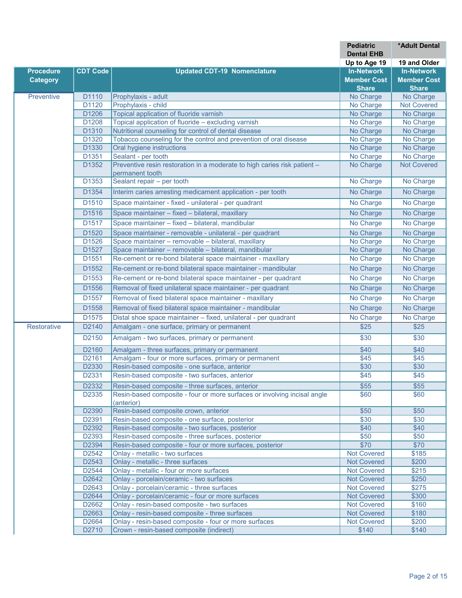|                    |                   |                                                                                             | <b>Pediatric</b>                  | *Adult Dental      |
|--------------------|-------------------|---------------------------------------------------------------------------------------------|-----------------------------------|--------------------|
|                    |                   |                                                                                             | <b>Dental EHB</b><br>Up to Age 19 | 19 and Older       |
| <b>Procedure</b>   | <b>CDT Code</b>   | <b>Updated CDT-19 Nomenclature</b>                                                          | <b>In-Network</b>                 | <b>In-Network</b>  |
| <b>Category</b>    |                   |                                                                                             | <b>Member Cost</b>                | <b>Member Cost</b> |
|                    |                   |                                                                                             | <b>Share</b>                      | <b>Share</b>       |
| Preventive         | D1110             | Prophylaxis - adult                                                                         | No Charge                         | No Charge          |
|                    | D1120             | Prophylaxis - child                                                                         | No Charge                         | <b>Not Covered</b> |
|                    | D1206             | Topical application of fluoride varnish                                                     | No Charge                         | No Charge          |
|                    | D1208             | Topical application of fluoride - excluding varnish                                         | No Charge                         | No Charge          |
|                    | D <sub>1310</sub> | Nutritional counseling for control of dental disease                                        | No Charge                         | No Charge          |
|                    | D <sub>1320</sub> | Tobacco counseling for the control and prevention of oral disease                           | No Charge                         | No Charge          |
|                    | D <sub>1330</sub> | Oral hygiene instructions                                                                   | No Charge                         | No Charge          |
|                    | D <sub>1351</sub> | Sealant - per tooth                                                                         | No Charge                         | No Charge          |
|                    | D <sub>1352</sub> | Preventive resin restoration in a moderate to high caries risk patient -<br>permanent tooth | No Charge                         | <b>Not Covered</b> |
|                    | D <sub>1353</sub> | Sealant repair - per tooth                                                                  | No Charge                         | No Charge          |
|                    | D <sub>1354</sub> | Interim caries arresting medicament application - per tooth                                 | No Charge                         | No Charge          |
|                    | D1510             | Space maintainer - fixed - unilateral - per quadrant                                        | No Charge                         | No Charge          |
|                    | D1516             | Space maintainer - fixed - bilateral, maxillary                                             | No Charge                         | No Charge          |
|                    | D1517             | Space maintainer - fixed - bilateral, mandibular                                            | No Charge                         | No Charge          |
|                    | D1520             | Space maintainer - removable - unilateral - per quadrant                                    | No Charge                         | No Charge          |
|                    | D1526             | Space maintainer - removable - bilateral, maxillary                                         | No Charge                         | No Charge          |
|                    | D1527             | Space maintainer - removable - bilateral, mandibular                                        | No Charge                         | No Charge          |
|                    | D1551             | Re-cement or re-bond bilateral space maintainer - maxillary                                 | No Charge                         | No Charge          |
|                    | D1552             | Re-cement or re-bond bilateral space maintainer - mandibular                                | No Charge                         | No Charge          |
|                    | D <sub>1553</sub> | Re-cement or re-bond bilateral space maintainer - per quadrant                              | No Charge                         | No Charge          |
|                    | D <sub>1556</sub> | Removal of fixed unilateral space maintainer - per quadrant                                 | No Charge                         | No Charge          |
|                    | D1557             | Removal of fixed bilateral space maintainer - maxillary                                     | No Charge                         | No Charge          |
|                    | D1558             | Removal of fixed bilateral space maintainer - mandibular                                    | No Charge                         | No Charge          |
|                    | D <sub>1575</sub> | Distal shoe space maintainer - fixed, unilateral - per quadrant                             | No Charge                         | No Charge          |
| <b>Restorative</b> | D2140             | Amalgam - one surface, primary or permanent                                                 | \$25                              | \$25               |
|                    | D2150             | Amalgam - two surfaces, primary or permanent                                                | \$30                              | \$30               |
|                    | D2160             | Amalgam - three surfaces, primary or permanent                                              | \$40                              | \$40               |
|                    | D2161             | Amalgam - four or more surfaces, primary or permanent                                       | \$45                              | $\overline{$45}$   |
|                    | D2330             | Resin-based composite - one surface, anterior                                               | \$30                              | \$30               |
|                    | D2331             | Resin-based composite - two surfaces, anterior                                              | \$45                              | \$45               |
|                    | D2332             | Resin-based composite - three surfaces, anterior                                            | \$55                              | \$55               |
|                    | D2335             | Resin-based composite - four or more surfaces or involving incisal angle<br>(anterior)      | \$60                              | \$60               |
|                    | D2390             | Resin-based composite crown, anterior                                                       | \$50                              | \$50               |
|                    | D2391             | Resin-based composite - one surface, posterior                                              | \$30                              | \$30               |
|                    | D2392             | Resin-based composite - two surfaces, posterior                                             | \$40                              | \$40               |
|                    | D2393             | Resin-based composite - three surfaces, posterior                                           | \$50                              | \$50               |
|                    | D2394             | Resin-based composite - four or more surfaces, posterior                                    | \$70                              | \$70               |
|                    | D2542             | Onlay - metallic - two surfaces                                                             | <b>Not Covered</b>                | \$185              |
|                    | D2543             | Onlay - metallic - three surfaces                                                           | <b>Not Covered</b>                | \$200              |
|                    | D2544             | Onlay - metallic - four or more surfaces                                                    | <b>Not Covered</b>                | \$215              |
|                    | D2642<br>D2643    | Onlay - porcelain/ceramic - two surfaces<br>Onlay - porcelain/ceramic - three surfaces      | Not Covered<br>Not Covered        | \$250<br>\$275     |
|                    | D2644             | Onlay - porcelain/ceramic - four or more surfaces                                           | <b>Not Covered</b>                | \$300              |
|                    | D2662             | Onlay - resin-based composite - two surfaces                                                | Not Covered                       | \$160              |
|                    | D2663             | Onlay - resin-based composite - three surfaces                                              | <b>Not Covered</b>                | \$180              |
|                    | D2664             | Onlay - resin-based composite - four or more surfaces                                       | <b>Not Covered</b>                | \$200              |
|                    | D2710             | Crown - resin-based composite (indirect)                                                    | \$140                             | \$140              |
|                    |                   |                                                                                             |                                   |                    |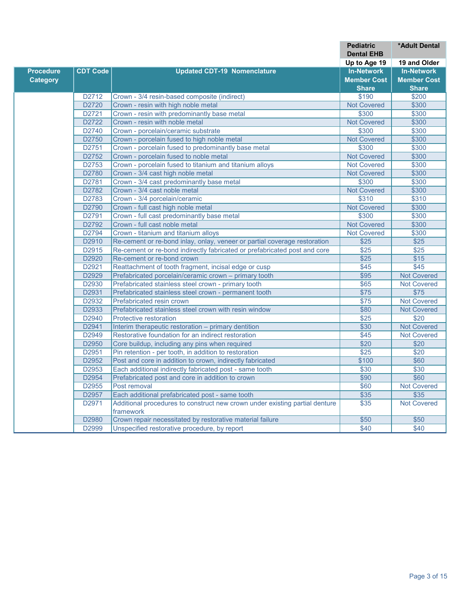|                  |                   |                                                                                          | Pediatric          | *Adult Dental      |
|------------------|-------------------|------------------------------------------------------------------------------------------|--------------------|--------------------|
|                  |                   |                                                                                          | <b>Dental EHB</b>  |                    |
|                  |                   |                                                                                          | Up to Age 19       | 19 and Older       |
| <b>Procedure</b> | <b>CDT Code</b>   | <b>Updated CDT-19 Nomenclature</b>                                                       | <b>In-Network</b>  | <b>In-Network</b>  |
| <b>Category</b>  |                   |                                                                                          | <b>Member Cost</b> | <b>Member Cost</b> |
|                  |                   |                                                                                          | <b>Share</b>       | <b>Share</b>       |
|                  | D2712             | Crown - 3/4 resin-based composite (indirect)                                             | \$190              | \$200              |
|                  | D2720             | Crown - resin with high noble metal                                                      | <b>Not Covered</b> | \$300              |
|                  | D2721             | Crown - resin with predominantly base metal                                              | \$300              | \$300              |
|                  | D2722             | Crown - resin with noble metal                                                           | <b>Not Covered</b> | \$300              |
|                  | D2740             | Crown - porcelain/ceramic substrate                                                      | \$300              | \$300              |
|                  | D2750             | Crown - porcelain fused to high noble metal                                              | <b>Not Covered</b> | \$300              |
|                  | D2751             | Crown - porcelain fused to predominantly base metal                                      | \$300              | \$300              |
|                  | D <sub>2752</sub> | Crown - porcelain fused to noble metal                                                   | <b>Not Covered</b> | \$300              |
|                  | D2753             | Crown - porcelain fused to titanium and titanium alloys                                  | <b>Not Covered</b> | \$300              |
|                  | D2780             | Crown - 3/4 cast high noble metal                                                        | Not Covered        | \$300              |
|                  | D2781             | Crown - 3/4 cast predominantly base metal                                                | \$300              | \$300              |
|                  | D2782             | Crown - 3/4 cast noble metal                                                             | <b>Not Covered</b> | \$300              |
|                  | D2783             | Crown - 3/4 porcelain/ceramic                                                            | \$310              | \$310              |
|                  | D2790             | Crown - full cast high noble metal                                                       | <b>Not Covered</b> | \$300              |
|                  | D2791             | Crown - full cast predominantly base metal                                               | \$300              | \$300              |
|                  | D2792             | Crown - full cast noble metal                                                            | <b>Not Covered</b> | \$300              |
|                  | D2794             | Crown - titanium and titanium alloys                                                     | <b>Not Covered</b> | \$300              |
|                  | D2910             | Re-cement or re-bond inlay, onlay, veneer or partial coverage restoration                | $\overline{$25}$   | $\overline{$25}$   |
|                  | D2915             | Re-cement or re-bond indirectly fabricated or prefabricated post and core                | $\overline{$25}$   | \$25               |
|                  | D2920             | Re-cement or re-bond crown                                                               | $\overline{$25}$   | \$15               |
|                  | D <sub>2921</sub> | Reattachment of tooth fragment, incisal edge or cusp                                     | \$45               | $\overline{$45}$   |
|                  | D2929             | Prefabricated porcelain/ceramic crown - primary tooth                                    | \$95               | <b>Not Covered</b> |
|                  | D <sub>2930</sub> | Prefabricated stainless steel crown - primary tooth                                      | \$65               | <b>Not Covered</b> |
|                  | D2931             | Prefabricated stainless steel crown - permanent tooth                                    | $\overline{$75}$   | $\sqrt{$75}$       |
|                  | D2932             | Prefabricated resin crown                                                                | \$75               | <b>Not Covered</b> |
|                  | D2933             | Prefabricated stainless steel crown with resin window                                    | \$80               | <b>Not Covered</b> |
|                  | D2940             | Protective restoration                                                                   | $\overline{$25}$   | $\overline{$20}$   |
|                  | D2941             | Interim therapeutic restoration - primary dentition                                      | \$30               | <b>Not Covered</b> |
|                  | D2949             | Restorative foundation for an indirect restoration                                       | \$45               | <b>Not Covered</b> |
|                  | D <sub>2950</sub> | Core buildup, including any pins when required                                           | $\overline{$}20$   | \$20               |
|                  | D <sub>2951</sub> | Pin retention - per tooth, in addition to restoration                                    | $\overline{$25}$   | \$20               |
|                  | D <sub>2952</sub> | Post and core in addition to crown, indirectly fabricated                                | \$100              | \$60               |
|                  | D2953             | Each additional indirectly fabricated post - same tooth                                  | \$30               | \$30               |
|                  | D2954             | Prefabricated post and core in addition to crown                                         | \$90               | \$60               |
|                  | D2955             | Post removal                                                                             | \$60               | <b>Not Covered</b> |
|                  | D2957             | Each additional prefabricated post - same tooth                                          | \$35               | \$35               |
|                  | D2971             | Additional procedures to construct new crown under existing partial denture<br>framework | \$35               | <b>Not Covered</b> |
|                  | D2980             | Crown repair necessitated by restorative material failure                                | \$50               | \$50               |
|                  | D2999             | Unspecified restorative procedure, by report                                             | \$40               | \$40               |
|                  |                   |                                                                                          |                    |                    |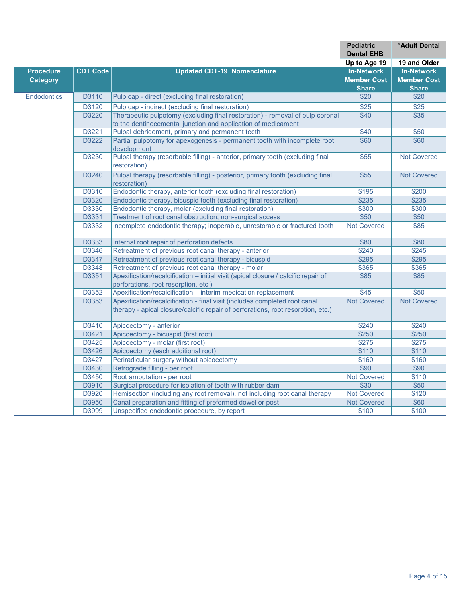|                    |                 |                                                                                                                                                                | <b>Pediatric</b><br><b>Dental EHB</b> | *Adult Dental      |
|--------------------|-----------------|----------------------------------------------------------------------------------------------------------------------------------------------------------------|---------------------------------------|--------------------|
|                    |                 |                                                                                                                                                                | Up to Age 19                          | 19 and Older       |
| <b>Procedure</b>   | <b>CDT Code</b> | <b>Updated CDT-19 Nomenclature</b>                                                                                                                             | <b>In-Network</b>                     | <b>In-Network</b>  |
| <b>Category</b>    |                 |                                                                                                                                                                | <b>Member Cost</b>                    | <b>Member Cost</b> |
|                    |                 |                                                                                                                                                                | <b>Share</b>                          | <b>Share</b>       |
| <b>Endodontics</b> | D3110           | Pulp cap - direct (excluding final restoration)                                                                                                                | \$20                                  | \$20               |
|                    | D3120           | Pulp cap - indirect (excluding final restoration)                                                                                                              | $\overline{$25}$                      | $\overline{$25}$   |
|                    | D3220           | Therapeutic pulpotomy (excluding final restoration) - removal of pulp coronal                                                                                  | \$40                                  | $\overline{$35}$   |
|                    | D3221           | to the dentinocemental junction and application of medicament                                                                                                  |                                       |                    |
|                    |                 | Pulpal debridement, primary and permanent teeth                                                                                                                | \$40                                  | \$50               |
|                    | D3222           | Partial pulpotomy for apexogenesis - permanent tooth with incomplete root<br>development                                                                       | \$60                                  | \$60               |
|                    | D3230           | Pulpal therapy (resorbable filling) - anterior, primary tooth (excluding final<br>restoration)                                                                 | \$55                                  | Not Covered        |
|                    | D3240           | Pulpal therapy (resorbable filling) - posterior, primary tooth (excluding final<br>restoration)                                                                | $\overline{$55}$                      | <b>Not Covered</b> |
|                    | D3310           | Endodontic therapy, anterior tooth (excluding final restoration)                                                                                               | \$195                                 | \$200              |
|                    | D3320           | Endodontic therapy, bicuspid tooth (excluding final restoration)                                                                                               | \$235                                 | \$235              |
|                    | D3330           | Endodontic therapy, molar (excluding final restoration)                                                                                                        | \$300                                 | \$300              |
|                    | D3331           | Treatment of root canal obstruction; non-surgical access                                                                                                       | \$50                                  | \$50               |
|                    | D3332           | Incomplete endodontic therapy; inoperable, unrestorable or fractured tooth                                                                                     | <b>Not Covered</b>                    | \$85               |
|                    | D3333           | Internal root repair of perforation defects                                                                                                                    | \$80                                  | \$80               |
|                    | D3346           | Retreatment of previous root canal therapy - anterior                                                                                                          | \$240                                 | \$245              |
|                    | D3347           | Retreatment of previous root canal therapy - bicuspid                                                                                                          | \$295                                 | \$295              |
|                    | D3348           | Retreatment of previous root canal therapy - molar                                                                                                             | \$365                                 | \$365              |
|                    | D3351           | Apexification/recalcification - initial visit (apical closure / calcific repair of                                                                             | \$85                                  | \$85               |
|                    |                 | perforations, root resorption, etc.)                                                                                                                           |                                       |                    |
|                    | D3352           | Apexification/recalcification - interim medication replacement                                                                                                 | \$45                                  | \$50               |
|                    | D3353           | Apexification/recalcification - final visit (includes completed root canal<br>therapy - apical closure/calcific repair of perforations, root resorption, etc.) | <b>Not Covered</b>                    | <b>Not Covered</b> |
|                    | D3410           | Apicoectomy - anterior                                                                                                                                         | \$240                                 | \$240              |
|                    | D3421           | Apicoectomy - bicuspid (first root)                                                                                                                            | \$250                                 | \$250              |
|                    | D3425           | Apicoectomy - molar (first root)                                                                                                                               | \$275                                 | \$275              |
|                    | D3426           | Apicoectomy (each additional root)                                                                                                                             | \$110                                 | \$110              |
|                    | D3427           | Periradicular surgery without apicoectomy                                                                                                                      | \$160                                 | \$160              |
|                    | D3430           | Retrograde filling - per root                                                                                                                                  | \$90                                  | \$90               |
|                    | D3450           | Root amputation - per root                                                                                                                                     | <b>Not Covered</b>                    | \$110              |
|                    | D3910           | Surgical procedure for isolation of tooth with rubber dam                                                                                                      | \$30                                  | \$50               |
|                    | D3920           | Hemisection (including any root removal), not including root canal therapy                                                                                     | <b>Not Covered</b>                    | \$120              |
|                    | D3950           | Canal preparation and fitting of preformed dowel or post                                                                                                       | <b>Not Covered</b>                    | \$60               |
|                    | D3999           | Unspecified endodontic procedure, by report                                                                                                                    | \$100                                 | \$100              |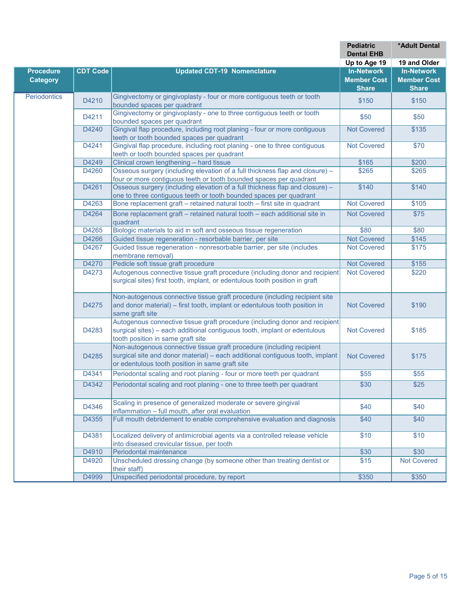|                  |                 |                                                                               | <b>Pediatric</b><br><b>Dental EHB</b> | *Adult Dental      |
|------------------|-----------------|-------------------------------------------------------------------------------|---------------------------------------|--------------------|
|                  |                 |                                                                               | Up to Age 19                          | 19 and Older       |
| <b>Procedure</b> | <b>CDT Code</b> | <b>Updated CDT-19 Nomenclature</b>                                            | <b>In-Network</b>                     | <b>In-Network</b>  |
| <b>Category</b>  |                 |                                                                               | <b>Member Cost</b>                    | <b>Member Cost</b> |
|                  |                 |                                                                               | <b>Share</b>                          | <b>Share</b>       |
| Periodontics     |                 | Gingivectomy or gingivoplasty - four or more contiguous teeth or tooth        |                                       |                    |
|                  | D4210           | bounded spaces per quadrant                                                   | \$150                                 | \$150              |
|                  |                 | Gingivectomy or gingivoplasty - one to three contiguous teeth or tooth        |                                       |                    |
|                  | D4211           | bounded spaces per quadrant                                                   | \$50                                  | \$50               |
|                  | D4240           | Gingival flap procedure, including root planing - four or more contiquous     | <b>Not Covered</b>                    | \$135              |
|                  |                 | teeth or tooth bounded spaces per quadrant                                    |                                       |                    |
|                  | D4241           | Gingival flap procedure, including root planing - one to three contiguous     | <b>Not Covered</b>                    | \$70               |
|                  |                 | teeth or tooth bounded spaces per quadrant                                    |                                       |                    |
|                  | D4249           | Clinical crown lengthening - hard tissue                                      | \$165                                 | \$200              |
|                  | D4260           | Osseous surgery (including elevation of a full thickness flap and closure) -  | \$265                                 | \$265              |
|                  |                 | four or more contiguous teeth or tooth bounded spaces per quadrant            |                                       |                    |
|                  | D4261           | Osseous surgery (including elevation of a full thickness flap and closure) -  | \$140                                 | \$140              |
|                  |                 | one to three contiguous teeth or tooth bounded spaces per quadrant            |                                       |                    |
|                  | D4263           | Bone replacement graft - retained natural tooth - first site in quadrant      | <b>Not Covered</b>                    | \$105              |
|                  | D4264           | Bone replacement graft - retained natural tooth - each additional site in     | <b>Not Covered</b>                    | \$75               |
|                  |                 | quadrant                                                                      |                                       |                    |
|                  | D4265           | Biologic materials to aid in soft and osseous tissue regeneration             | \$80                                  | \$80               |
|                  | D4266           | Guided tissue regeneration - resorbable barrier, per site                     | <b>Not Covered</b>                    | \$145              |
|                  | D4267           | Guided tissue regeneration - nonresorbable barrier, per site (includes        | <b>Not Covered</b>                    | \$175              |
|                  |                 | membrane removal)                                                             |                                       |                    |
|                  | D4270           | Pedicle soft tissue graft procedure                                           | <b>Not Covered</b>                    | \$155              |
|                  | D4273           | Autogenous connective tissue graft procedure (including donor and recipient   | <b>Not Covered</b>                    | \$220              |
|                  |                 | surgical sites) first tooth, implant, or edentulous tooth position in graft   |                                       |                    |
|                  |                 | Non-autogenous connective tissue graft procedure (including recipient site    |                                       |                    |
|                  | D4275           | and donor material) - first tooth, implant or edentulous tooth position in    | <b>Not Covered</b>                    | \$190              |
|                  |                 | same graft site                                                               |                                       |                    |
|                  |                 | Autogenous connective tissue graft procedure (including donor and recipient   |                                       |                    |
|                  | D4283           | surgical sites) - each additional contiguous tooth, implant or edentulous     | <b>Not Covered</b>                    | \$185              |
|                  |                 | tooth position in same graft site                                             |                                       |                    |
|                  |                 | Non-autogenous connective tissue graft procedure (including recipient         |                                       |                    |
|                  | D4285           | surgical site and donor material) - each additional contiguous tooth, implant | <b>Not Covered</b>                    | \$175              |
|                  |                 | or edentulous tooth position in same graft site                               |                                       |                    |
|                  | D4341           | Periodontal scaling and root planing - four or more teeth per quadrant        | \$55                                  | \$55               |
|                  |                 |                                                                               |                                       |                    |
|                  | D4342           | Periodontal scaling and root planing - one to three teeth per quadrant        | \$30                                  | \$25               |
|                  |                 | Scaling in presence of generalized moderate or severe gingival                |                                       |                    |
|                  | D4346           | inflammation - full mouth, after oral evaluation                              | \$40                                  | \$40               |
|                  | D4355           | Full mouth debridement to enable comprehensive evaluation and diagnosis       | \$40                                  | \$40               |
|                  |                 |                                                                               |                                       |                    |
|                  | D4381           | Localized delivery of antimicrobial agents via a controlled release vehicle   | \$10                                  | \$10               |
|                  |                 | into diseased crevicular tissue, per tooth                                    |                                       |                    |
|                  | D4910           | Periodontal maintenance                                                       | \$30                                  | \$30               |
|                  | D4920           | Unscheduled dressing change (by someone other than treating dentist or        | \$15                                  | <b>Not Covered</b> |
|                  | D4999           | their staff)<br>Unspecified periodontal procedure, by report                  |                                       |                    |
|                  |                 |                                                                               | \$350                                 | \$350              |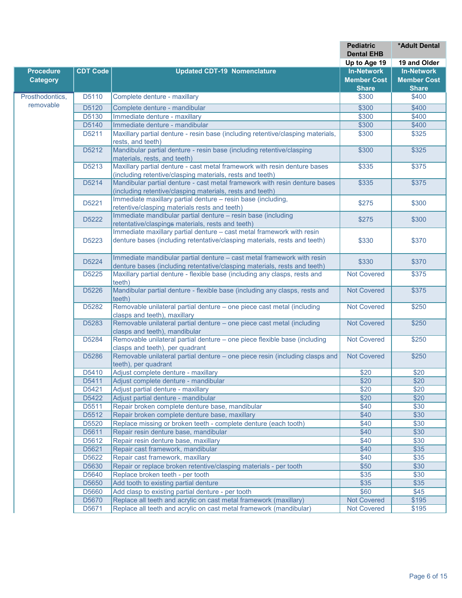|                  |                 |                                                                                                                   | <b>Pediatric</b><br><b>Dental EHB</b> | *Adult Dental      |
|------------------|-----------------|-------------------------------------------------------------------------------------------------------------------|---------------------------------------|--------------------|
|                  |                 |                                                                                                                   | Up to Age 19                          | 19 and Older       |
| <b>Procedure</b> | <b>CDT Code</b> | <b>Updated CDT-19 Nomenclature</b>                                                                                | <b>In-Network</b>                     | <b>In-Network</b>  |
| <b>Category</b>  |                 |                                                                                                                   | <b>Member Cost</b>                    | <b>Member Cost</b> |
|                  |                 |                                                                                                                   | <b>Share</b>                          | <b>Share</b>       |
| Prosthodontics,  | D5110           | Complete denture - maxillary                                                                                      | \$300                                 | \$400              |
| removable        |                 |                                                                                                                   |                                       |                    |
|                  | D5120           | Complete denture - mandibular                                                                                     | \$300                                 | \$400              |
|                  | D5130           | Immediate denture - maxillary                                                                                     | \$300                                 | \$400              |
|                  | D5140<br>D5211  | Immediate denture - mandibular<br>Maxillary partial denture - resin base (including retentive/clasping materials, | \$300                                 | \$400              |
|                  |                 | rests, and teeth)                                                                                                 | \$300                                 | \$325              |
|                  | D5212           | Mandibular partial denture - resin base (including retentive/clasping<br>materials, rests, and teeth)             | \$300                                 | \$325              |
|                  | D5213           | Maxillary partial denture - cast metal framework with resin denture bases                                         | \$335                                 | \$375              |
|                  |                 | (including retentive/clasping materials, rests and teeth)                                                         |                                       |                    |
|                  | D5214           | Mandibular partial denture - cast metal framework with resin denture bases                                        | \$335                                 | \$375              |
|                  |                 | (including retentive/clasping materials, rests and teeth)                                                         |                                       |                    |
|                  | D5221           | Immediate maxillary partial denture - resin base (including,                                                      | \$275                                 | \$300              |
|                  |                 | retentive/clasping materials rests and teeth)                                                                     |                                       |                    |
|                  | D5222           | Immediate mandibular partial denture - resin base (including<br>retentative/claspings materials, rests and teeth) | \$275                                 | \$300              |
|                  |                 | Immediate maxillary partial denture - cast metal framework with resin                                             |                                       |                    |
|                  | D5223           | denture bases (including retentative/clasping materials, rests and teeth)                                         | \$330                                 | \$370              |
|                  |                 | Immediate mandibular partial denture - cast metal framework with resin                                            |                                       |                    |
|                  | D5224           | denture bases (including retentative/clasping materials, rests and teeth)                                         | \$330                                 | \$370              |
|                  | D5225           | Maxillary partial denture - flexible base (including any clasps, rests and                                        | <b>Not Covered</b>                    | \$375              |
|                  |                 | teeth)                                                                                                            |                                       |                    |
|                  | D5226           | Mandibular partial denture - flexible base (including any clasps, rests and<br>teeth)                             | <b>Not Covered</b>                    | \$375              |
|                  | D5282           | Removable unilateral partial denture - one piece cast metal (including                                            | <b>Not Covered</b>                    | \$250              |
|                  |                 | clasps and teeth), maxillary                                                                                      |                                       |                    |
|                  | D5283           | Removable unilateral partial denture - one piece cast metal (including<br>clasps and teeth), mandibular           | <b>Not Covered</b>                    | \$250              |
|                  | D5284           | Removable unilateral partial denture - one piece flexible base (including                                         | <b>Not Covered</b>                    | \$250              |
|                  |                 | clasps and teeth), per quadrant                                                                                   |                                       |                    |
|                  | D5286           | Removable unilateral partial denture - one piece resin (including clasps and<br>teeth), per quadrant              | <b>Not Covered</b>                    | $\sqrt{$250}$      |
|                  | D5410           | Adjust complete denture - maxillary                                                                               | \$20                                  | \$20               |
|                  | D5411           | Adjust complete denture - mandibular                                                                              | \$20                                  | \$20               |
|                  | D5421           | Adjust partial denture - maxillary                                                                                | \$20                                  | \$20               |
|                  | D5422           | Adjust partial denture - mandibular                                                                               | \$20                                  | \$20               |
|                  | D5511           | Repair broken complete denture base, mandibular                                                                   | \$40                                  | \$30               |
|                  | D5512           | Repair broken complete denture base, maxillary                                                                    | \$40                                  | \$30               |
|                  | D5520           | Replace missing or broken teeth - complete denture (each tooth)                                                   | \$40                                  | \$30               |
|                  | D5611           | Repair resin denture base, mandibular                                                                             | \$40                                  | \$30               |
|                  | D5612           | Repair resin denture base, maxillary                                                                              | \$40                                  | \$30               |
|                  | D5621           | Repair cast framework, mandibular                                                                                 | \$40                                  | \$35               |
|                  | D5622           | Repair cast framework, maxillary                                                                                  | \$40                                  | \$35               |
|                  | D5630           | Repair or replace broken retentive/clasping materials - per tooth                                                 | \$50                                  | \$30               |
|                  | D5640           | Replace broken teeth - per tooth                                                                                  | \$35                                  | \$30               |
|                  | D5650           | Add tooth to existing partial denture                                                                             | \$35                                  | \$35               |
|                  | D5660           | Add clasp to existing partial denture - per tooth                                                                 | \$60                                  | \$45               |
|                  | D5670           | Replace all teeth and acrylic on cast metal framework (maxillary)                                                 | Not Covered                           | \$195              |
|                  | D5671           | Replace all teeth and acrylic on cast metal framework (mandibular)                                                | <b>Not Covered</b>                    | \$195              |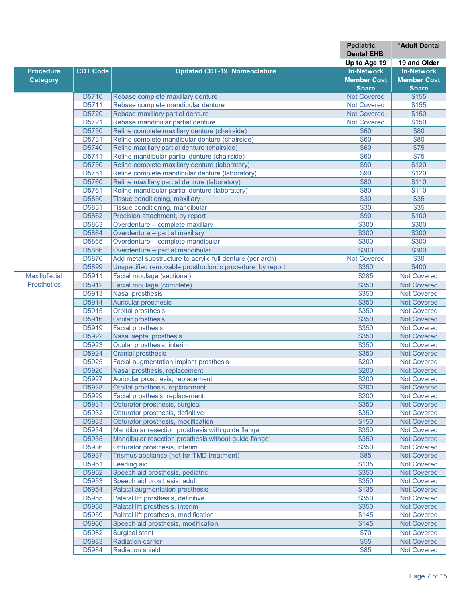|                      |                 |                                                                                                 | <b>Pediatric</b>   | <b>*Adult Dental</b>                     |
|----------------------|-----------------|-------------------------------------------------------------------------------------------------|--------------------|------------------------------------------|
|                      |                 |                                                                                                 | <b>Dental EHB</b>  |                                          |
|                      |                 |                                                                                                 | Up to Age 19       | 19 and Older                             |
| <b>Procedure</b>     | <b>CDT Code</b> | <b>Updated CDT-19 Nomenclature</b>                                                              | <b>In-Network</b>  | <b>In-Network</b>                        |
| <b>Category</b>      |                 |                                                                                                 | <b>Member Cost</b> | <b>Member Cost</b>                       |
|                      |                 |                                                                                                 | <b>Share</b>       | <b>Share</b>                             |
|                      | D5710           | Rebase complete maxillary denture                                                               | <b>Not Covered</b> | \$155                                    |
|                      | D5711           | Rebase complete mandibular denture                                                              | <b>Not Covered</b> | \$155                                    |
|                      | D5720           | Rebase maxillary partial denture                                                                | <b>Not Covered</b> | \$150                                    |
|                      | D5721           | Rebase mandibular partial denture                                                               | <b>Not Covered</b> | \$150                                    |
|                      | D5730           | Reline complete maxillary denture (chairside)                                                   | \$60               | \$80                                     |
|                      | D5731           | Reline complete mandibular denture (chairside)                                                  | \$60               | \$80                                     |
|                      | D5740           | Reline maxillary partial denture (chairside)                                                    | \$60               | $\overline{$75}$                         |
|                      | D5741           | Reline mandibular partial denture (chairside)                                                   | \$60               | $\sqrt{$75}$                             |
|                      | D5750           | Reline complete maxillary denture (laboratory)                                                  | \$90               | \$120                                    |
|                      | D5751<br>D5760  | Reline complete mandibular denture (laboratory)                                                 | \$90               | \$120<br>\$110                           |
|                      | D5761           | Reline maxillary partial denture (laboratory)<br>Reline mandibular partial denture (laboratory) | \$80<br>\$80       | \$110                                    |
|                      | D5850           | Tissue conditioning, maxillary                                                                  | \$30               | \$35                                     |
|                      | D5851           | Tissue conditioning, mandibular                                                                 | \$30               | \$35                                     |
|                      | D5862           | Precision attachment, by report                                                                 | \$90               | \$100                                    |
|                      | D5863           | Overdenture - complete maxillary                                                                | \$300              | \$300                                    |
|                      | D5864           | Overdenture - partial maxillary                                                                 | \$300              | \$300                                    |
|                      | D5865           | Overdenture - complete mandibular                                                               | \$300              | \$300                                    |
|                      | D5866           | Overdenture - partial mandibular                                                                | \$300              | \$300                                    |
|                      | D5876           | Add metal substructure to acrylic full denture (per arch)                                       | <b>Not Covered</b> | \$30                                     |
|                      | D5899           | Unspecified removable prosthodontic procedure, by report                                        | \$350              | \$400                                    |
| <b>Maxillofacial</b> |                 | Facial moulage (sectional)                                                                      | $\frac{1}{2285}$   | <b>Not Covered</b>                       |
| <b>Prosthetics</b>   | D5911           |                                                                                                 |                    |                                          |
|                      | D5912           | Facial moulage (complete)                                                                       | \$350              | <b>Not Covered</b>                       |
|                      | D5913           | <b>Nasal prosthesis</b>                                                                         | \$350              | <b>Not Covered</b>                       |
|                      | D5914           | <b>Auricular prosthesis</b>                                                                     | \$350              | <b>Not Covered</b>                       |
|                      | D5915           | <b>Orbital prosthesis</b>                                                                       | \$350              | <b>Not Covered</b>                       |
|                      | D5916           | Ocular prosthesis                                                                               | \$350              | <b>Not Covered</b>                       |
|                      | D5919           | <b>Facial prosthesis</b>                                                                        | \$350              | <b>Not Covered</b>                       |
|                      | D5922           | Nasal septal prosthesis                                                                         | \$350              | <b>Not Covered</b>                       |
|                      | D5923           | Ocular prosthesis, interim<br><b>Cranial prosthesis</b>                                         | \$350              | <b>Not Covered</b>                       |
|                      | D5924           |                                                                                                 | \$350              | <b>Not Covered</b>                       |
|                      | D5925           | <b>Facial augmentation implant prosthesis</b>                                                   | \$200              | <b>Not Covered</b>                       |
|                      | D5926           | Nasal prosthesis, replacement                                                                   | \$200              | <b>Not Covered</b>                       |
|                      | D5927           | Auricular prosthesis, replacement                                                               | \$200              | <b>Not Covered</b>                       |
|                      | D5928           | Orbital prosthesis, replacement                                                                 | \$200              | <b>Not Covered</b>                       |
|                      | D5929<br>D5931  | Facial prosthesis, replacement<br>Obturator prosthesis, surgical                                | \$200              | <b>Not Covered</b>                       |
|                      | D5932           | Obturator prosthesis, definitive                                                                | \$350<br>\$350     | <b>Not Covered</b><br><b>Not Covered</b> |
|                      | D5933           | Obturator prosthesis, modification                                                              | \$150              | <b>Not Covered</b>                       |
|                      | D5934           | Mandibular resection prosthesis with guide flange                                               | \$350              | <b>Not Covered</b>                       |
|                      | D5935           | Mandibular resection prosthesis without guide flange                                            | \$350              | <b>Not Covered</b>                       |
|                      | D5936           | Obturator prosthesis, interim                                                                   | \$350              | <b>Not Covered</b>                       |
|                      | D5937           | Trismus appliance (not for TMD treatment)                                                       | \$85               | <b>Not Covered</b>                       |
|                      | D5951           | Feeding aid                                                                                     | \$135              | <b>Not Covered</b>                       |
|                      | D5952           | Speech aid prosthesis, pediatric                                                                | \$350              | <b>Not Covered</b>                       |
|                      | D5953           | Speech aid prosthesis, adult                                                                    | \$350              | <b>Not Covered</b>                       |
|                      | D5954           | Palatal augmentation prosthesis                                                                 | \$135              | <b>Not Covered</b>                       |
|                      | D5955           | Palatal lift prosthesis, definitive                                                             | \$350              | <b>Not Covered</b>                       |
|                      | D5958           | Palatal lift prosthesis, interim                                                                | \$350              | <b>Not Covered</b>                       |
|                      | D5959           | Palatal lift prosthesis, modification                                                           | \$145              | <b>Not Covered</b>                       |
|                      | D5960           | Speech aid prosthesis, modification                                                             | \$145              | <b>Not Covered</b>                       |
|                      |                 |                                                                                                 |                    |                                          |
|                      | D5982           | <b>Surgical stent</b>                                                                           | \$70               | <b>Not Covered</b>                       |
|                      | D5983           | <b>Radiation carrier</b>                                                                        | \$55               | <b>Not Covered</b>                       |
|                      | D5984           | <b>Radiation shield</b>                                                                         | \$85               | <b>Not Covered</b>                       |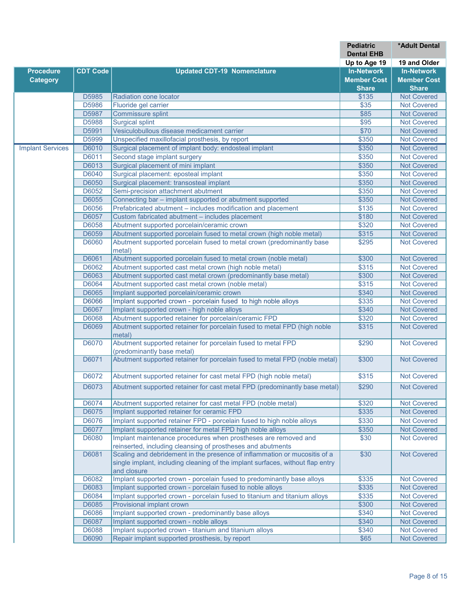|                         |                 |                                                                                            | <b>Pediatric</b>   | *Adult Dental      |
|-------------------------|-----------------|--------------------------------------------------------------------------------------------|--------------------|--------------------|
|                         |                 |                                                                                            | <b>Dental EHB</b>  |                    |
|                         |                 |                                                                                            | Up to Age 19       | 19 and Older       |
| <b>Procedure</b>        | <b>CDT Code</b> | <b>Updated CDT-19 Nomenclature</b>                                                         | <b>In-Network</b>  | <b>In-Network</b>  |
| <b>Category</b>         |                 |                                                                                            | <b>Member Cost</b> | <b>Member Cost</b> |
|                         |                 |                                                                                            | <b>Share</b>       | <b>Share</b>       |
|                         | D5985           | Radiation cone locator                                                                     | \$135              | <b>Not Covered</b> |
|                         | D5986           | Fluoride gel carrier                                                                       | \$35               | <b>Not Covered</b> |
|                         | D5987           | Commissure splint                                                                          | \$85               | <b>Not Covered</b> |
|                         | D5988           | <b>Surgical splint</b>                                                                     | $\sqrt{$95}$       | <b>Not Covered</b> |
|                         | D5991           | Vesiculobullous disease medicament carrier                                                 | \$70               | <b>Not Covered</b> |
|                         | D5999           | Unspecified maxillofacial prosthesis, by report                                            | \$350              | <b>Not Covered</b> |
| <b>Implant Services</b> | D6010           | Surgical placement of implant body: endosteal implant                                      | \$350              | <b>Not Covered</b> |
|                         | D6011           | Second stage implant surgery                                                               | \$350              | <b>Not Covered</b> |
|                         | D6013           | Surgical placement of mini implant                                                         | \$350              | <b>Not Covered</b> |
|                         | D6040           | Surgical placement: eposteal implant                                                       | \$350              | <b>Not Covered</b> |
|                         | D6050           | Surgical placement: transosteal implant                                                    | \$350              | <b>Not Covered</b> |
|                         | D6052           | Semi-precision attachment abutment                                                         | \$350              | <b>Not Covered</b> |
|                         | D6055           | Connecting bar - implant supported or abutment supported                                   | \$350              | <b>Not Covered</b> |
|                         | D6056           | Prefabricated abutment - includes modification and placement                               | \$135              | <b>Not Covered</b> |
|                         | D6057           | Custom fabricated abutment - includes placement                                            | \$180              | <b>Not Covered</b> |
|                         | D6058           | Abutment supported porcelain/ceramic crown                                                 | \$320              | <b>Not Covered</b> |
|                         | D6059           | Abutment supported porcelain fused to metal crown (high noble metal)                       | \$315              | <b>Not Covered</b> |
|                         | D6060           | Abutment supported porcelain fused to metal crown (predominantly base                      | \$295              | Not Covered        |
|                         |                 | metal)                                                                                     |                    |                    |
|                         | D6061           | Abutment supported porcelain fused to metal crown (noble metal)                            | \$300              | <b>Not Covered</b> |
|                         | D6062           | Abutment supported cast metal crown (high noble metal)                                     | \$315              | <b>Not Covered</b> |
|                         | D6063           | Abutment supported cast metal crown (predominantly base metal)                             | \$300              | <b>Not Covered</b> |
|                         | D6064           | Abutment supported cast metal crown (noble metal)                                          | \$315              | <b>Not Covered</b> |
|                         | D6065           | Implant supported porcelain/ceramic crown                                                  | \$340              | <b>Not Covered</b> |
|                         | D6066           | Implant supported crown - porcelain fused to high noble alloys                             | \$335              | <b>Not Covered</b> |
|                         | D6067           | Implant supported crown - high noble alloys                                                | \$340              | <b>Not Covered</b> |
|                         | D6068           | Abutment supported retainer for porcelain/ceramic FPD                                      | \$320              | <b>Not Covered</b> |
|                         | D6069           | Abutment supported retainer for porcelain fused to metal FPD (high noble<br>metal)         | \$315              | <b>Not Covered</b> |
|                         | D6070           | Abutment supported retainer for porcelain fused to metal FPD<br>(predominantly base metal) | \$290              | <b>Not Covered</b> |
|                         | D6071           | Abutment supported retainer for porcelain fused to metal FPD (noble metal)                 | \$300              | <b>Not Covered</b> |
|                         | D6072           | Abutment supported retainer for cast metal FPD (high noble metal)                          | \$315              | <b>Not Covered</b> |
|                         | D6073           | Abutment supported retainer for cast metal FPD (predominantly base metal)                  | \$290              | <b>Not Covered</b> |
|                         | D6074           | Abutment supported retainer for cast metal FPD (noble metal)                               | \$320              | <b>Not Covered</b> |
|                         | D6075           | Implant supported retainer for ceramic FPD                                                 | \$335              | <b>Not Covered</b> |
|                         | D6076           | Implant supported retainer FPD - porcelain fused to high noble alloys                      | \$330              | <b>Not Covered</b> |
|                         | D6077           | Implant supported retainer for metal FPD high noble alloys                                 | \$350              | <b>Not Covered</b> |
|                         | D6080           | Implant maintenance procedures when prostheses are removed and                             | \$30               | <b>Not Covered</b> |
|                         |                 | reinserted, including cleansing of prostheses and abutments                                |                    |                    |
|                         | D6081           | Scaling and debridement in the presence of inflammation or mucositis of a                  | \$30               | <b>Not Covered</b> |
|                         |                 | single implant, including cleaning of the implant surfaces, without flap entry             |                    |                    |
|                         |                 | and closure                                                                                |                    |                    |
|                         | D6082           | Implant supported crown - porcelain fused to predominantly base alloys                     | \$335              | <b>Not Covered</b> |
|                         | D6083           | Implant supported crown - porcelain fused to noble alloys                                  | \$335              | <b>Not Covered</b> |
|                         | D6084           | Implant supported crown - porcelain fused to titanium and titanium alloys                  | \$335              | <b>Not Covered</b> |
|                         | D6085           | Provisional implant crown                                                                  | \$300              | <b>Not Covered</b> |
|                         | D6086           | Implant supported crown - predominantly base alloys                                        | \$340              | <b>Not Covered</b> |
|                         | D6087           | Implant supported crown - noble alloys                                                     | \$340              | <b>Not Covered</b> |
|                         | D6088           | Implant supported crown - titanium and titanium alloys                                     | \$340              | <b>Not Covered</b> |
|                         | D6090           | Repair implant supported prosthesis, by report                                             | \$65               | <b>Not Covered</b> |
|                         |                 |                                                                                            |                    |                    |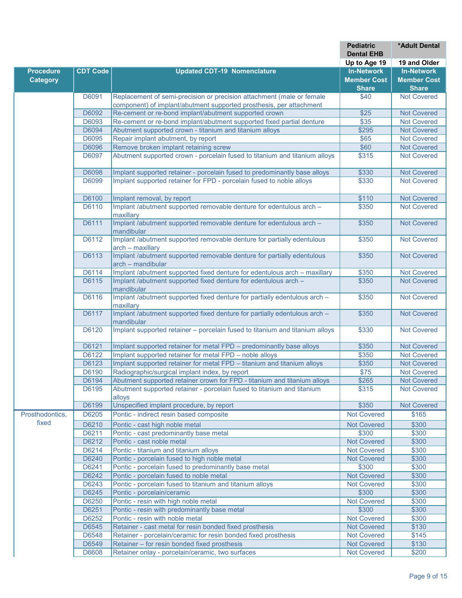|                          |                 |                                                                                               | <b>Pediatric</b>            | <b>*Adult Dental</b>                     |
|--------------------------|-----------------|-----------------------------------------------------------------------------------------------|-----------------------------|------------------------------------------|
|                          |                 |                                                                                               | <b>Dental EHB</b>           |                                          |
|                          |                 |                                                                                               | Up to Age 19                | 19 and Older                             |
| <b>Procedure</b>         | <b>CDT Code</b> | <b>Updated CDT-19 Nomenclature</b>                                                            | <b>In-Network</b>           | <b>In-Network</b>                        |
| <b>Category</b>          |                 |                                                                                               | <b>Member Cost</b>          | <b>Member Cost</b>                       |
|                          |                 |                                                                                               | <b>Share</b>                | <b>Share</b>                             |
|                          | D6091           | Replacement of semi-precision or precision attachment (male or female                         | \$40                        | <b>Not Covered</b>                       |
|                          |                 | component) of implant/abutment supported prosthesis, per attachment                           |                             |                                          |
|                          | D6092           | Re-cement or re-bond implant/abutment supported crown                                         | \$25                        | <b>Not Covered</b><br><b>Not Covered</b> |
|                          | D6093<br>D6094  | Re-cement or re-bond implant/abutment supported fixed partial denture                         | \$35<br>\$295               | <b>Not Covered</b>                       |
|                          | D6095           | Abutment supported crown - titanium and titanium alloys<br>Repair implant abutment, by report | \$65                        | <b>Not Covered</b>                       |
|                          | D6096           | Remove broken implant retaining screw                                                         | \$60                        | <b>Not Covered</b>                       |
|                          | D6097           | Abutment supported crown - porcelain fused to titanium and titanium alloys                    | \$315                       | <b>Not Covered</b>                       |
|                          |                 |                                                                                               |                             |                                          |
|                          | D6098           | Implant supported retainer - porcelain fused to predominantly base alloys                     | \$330                       | <b>Not Covered</b>                       |
|                          | D6099           | Implant supported retainer for FPD - porcelain fused to noble alloys                          | \$330                       | <b>Not Covered</b>                       |
|                          | D6100           | Implant removal, by report                                                                    | \$110                       | <b>Not Covered</b>                       |
|                          | D6110           | Implant /abutment supported removable denture for edentulous arch -                           | \$350                       | <b>Not Covered</b>                       |
|                          |                 | maxillary                                                                                     |                             |                                          |
|                          | D6111           | Implant /abutment supported removable denture for edentulous arch -<br>mandibular             | \$350                       | <b>Not Covered</b>                       |
|                          | D6112           | Implant /abutment supported removable denture for partially edentulous<br>$arch - maxillary$  | \$350                       | <b>Not Covered</b>                       |
|                          | D6113           | Implant /abutment supported removable denture for partially edentulous<br>arch - mandibular   | \$350                       | <b>Not Covered</b>                       |
|                          | D6114           | Implant /abutment supported fixed denture for edentulous arch - maxillary                     | \$350                       | <b>Not Covered</b>                       |
|                          | D6115           | Implant /abutment supported fixed denture for edentulous arch -<br>mandibular                 | \$350                       | <b>Not Covered</b>                       |
|                          | D6116           | Implant /abutment supported fixed denture for partially edentulous arch -<br>maxillary        | \$350                       | <b>Not Covered</b>                       |
|                          | D6117           | Implant /abutment supported fixed denture for partially edentulous arch -<br>mandibular       | \$350                       | <b>Not Covered</b>                       |
|                          | D6120           | Implant supported retainer - porcelain fused to titanium and titanium alloys                  | \$330                       | <b>Not Covered</b>                       |
|                          | D6121           | Implant supported retainer for metal FPD - predominantly base alloys                          | \$350                       | <b>Not Covered</b>                       |
|                          | D6122           | Implant supported retainer for metal FPD - noble alloys                                       | \$350                       | <b>Not Covered</b>                       |
|                          | D6123           | Implant supported retainer for metal FPD - titanium and titanium alloys                       | \$350                       | <b>Not Covered</b>                       |
|                          | D6190           | Radiographic/surgical implant index, by report                                                | \$75                        | <b>Not Covered</b>                       |
|                          | D6194           | Abutment supported retainer crown for FPD - titanium and titanium alloys                      | \$265                       | <b>Not Covered</b>                       |
|                          | D6195           | Abutment supported retainer - porcelain fused to titanium and titanium                        | \$315                       | <b>Not Covered</b>                       |
|                          |                 | alloys                                                                                        |                             |                                          |
|                          | D6199           | Unspecified implant procedure, by report<br>Pontic - indirect resin based composite           | \$350                       | <b>Not Covered</b>                       |
| Prosthodontics,<br>fixed | D6205           |                                                                                               | <b>Not Covered</b>          | \$165                                    |
|                          | D6210           | Pontic - cast high noble metal                                                                | <b>Not Covered</b>          | \$300                                    |
|                          | D6211           | Pontic - cast predominantly base metal                                                        | \$300                       | \$300                                    |
|                          | D6212           | Pontic - cast noble metal                                                                     | <b>Not Covered</b>          | \$300                                    |
|                          | D6214           | Pontic - titanium and titanium alloys                                                         | <b>Not Covered</b>          | \$300                                    |
|                          | D6240           | Pontic - porcelain fused to high noble metal                                                  | <b>Not Covered</b>          | \$300                                    |
|                          | D6241           | Pontic - porcelain fused to predominantly base metal                                          | \$300                       | \$300                                    |
|                          | D6242           | Pontic - porcelain fused to noble metal                                                       | <b>Not Covered</b>          | \$300                                    |
|                          | D6243           | Pontic - porcelain fused to titanium and titanium alloys                                      | Not Covered                 | \$300                                    |
|                          | D6245           | Pontic - porcelain/ceramic                                                                    | \$300                       | \$300                                    |
|                          | D6250<br>D6251  | Pontic - resin with high noble metal<br>Pontic - resin with predominantly base metal          | <b>Not Covered</b><br>\$300 | \$300<br>\$300                           |
|                          | D6252           | Pontic - resin with noble metal                                                               | <b>Not Covered</b>          | \$300                                    |
|                          | D6545           | Retainer - cast metal for resin bonded fixed prosthesis                                       | <b>Not Covered</b>          | \$130                                    |
|                          | D6548           | Retainer - porcelain/ceramic for resin bonded fixed prosthesis                                | <b>Not Covered</b>          | \$145                                    |
|                          | D6549           | Retainer - for resin bonded fixed prosthesis                                                  | <b>Not Covered</b>          | \$130                                    |
|                          | D6608           | Retainer onlay - porcelain/ceramic, two surfaces                                              | <b>Not Covered</b>          | \$200                                    |
|                          |                 |                                                                                               |                             |                                          |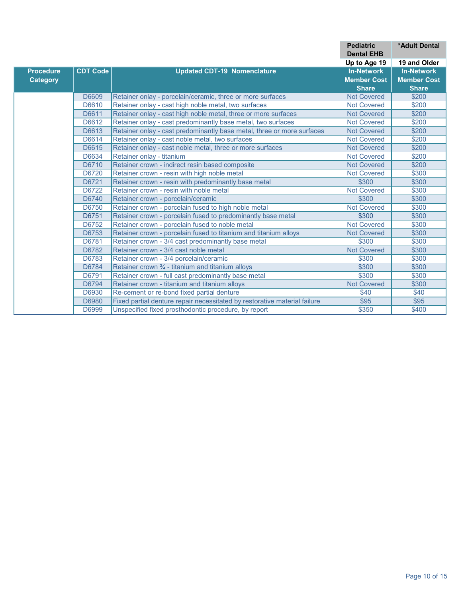|                  |                 |                                                                           | <b>Pediatric</b><br><b>Dental EHB</b> | <b>*Adult Dental</b> |
|------------------|-----------------|---------------------------------------------------------------------------|---------------------------------------|----------------------|
|                  |                 |                                                                           | Up to Age 19                          | 19 and Older         |
| <b>Procedure</b> | <b>CDT Code</b> | <b>Updated CDT-19 Nomenclature</b>                                        | <b>In-Network</b>                     | <b>In-Network</b>    |
| <b>Category</b>  |                 |                                                                           | <b>Member Cost</b>                    | <b>Member Cost</b>   |
|                  |                 |                                                                           | <b>Share</b>                          | <b>Share</b>         |
|                  | D6609           | Retainer onlay - porcelain/ceramic, three or more surfaces                | <b>Not Covered</b>                    | \$200                |
|                  | D6610           | Retainer onlay - cast high noble metal, two surfaces                      | <b>Not Covered</b>                    | \$200                |
|                  | D6611           | Retainer onlay - cast high noble metal, three or more surfaces            | <b>Not Covered</b>                    | \$200                |
|                  | D6612           | Retainer onlay - cast predominantly base metal, two surfaces              | <b>Not Covered</b>                    | \$200                |
|                  | D6613           | Retainer onlay - cast predominantly base metal, three or more surfaces    | <b>Not Covered</b>                    | \$200                |
|                  | D6614           | Retainer onlay - cast noble metal, two surfaces                           | <b>Not Covered</b>                    | \$200                |
|                  | D6615           | Retainer onlay - cast noble metal, three or more surfaces                 | <b>Not Covered</b>                    | \$200                |
|                  | D6634           | Retainer onlay - titanium                                                 | <b>Not Covered</b>                    | \$200                |
|                  | D6710           | Retainer crown - indirect resin based composite                           | <b>Not Covered</b>                    | \$200                |
|                  | D6720           | Retainer crown - resin with high noble metal                              | <b>Not Covered</b>                    | \$300                |
|                  | D6721           | Retainer crown - resin with predominantly base metal                      | \$300                                 | \$300                |
|                  | D6722           | Retainer crown - resin with noble metal                                   | <b>Not Covered</b>                    | \$300                |
|                  | D6740           | Retainer crown - porcelain/ceramic                                        | \$300                                 | \$300                |
|                  | D6750           | Retainer crown - porcelain fused to high noble metal                      | <b>Not Covered</b>                    | \$300                |
|                  | D6751           | Retainer crown - porcelain fused to predominantly base metal              | \$300                                 | \$300                |
|                  | D6752           | Retainer crown - porcelain fused to noble metal                           | <b>Not Covered</b>                    | \$300                |
|                  | D6753           | Retainer crown - porcelain fused to titanium and titanium alloys          | <b>Not Covered</b>                    | \$300                |
|                  | D6781           | Retainer crown - 3/4 cast predominantly base metal                        | \$300                                 | \$300                |
|                  | D6782           | Retainer crown - 3/4 cast noble metal                                     | <b>Not Covered</b>                    | \$300                |
|                  | D6783           | Retainer crown - 3/4 porcelain/ceramic                                    | \$300                                 | \$300                |
|                  | D6784           | Retainer crown 3/4 - titanium and titanium alloys                         | \$300                                 | \$300                |
|                  | D6791           | Retainer crown - full cast predominantly base metal                       | \$300                                 | \$300                |
|                  | D6794           | Retainer crown - titanium and titanium alloys                             | <b>Not Covered</b>                    | \$300                |
|                  | D6930           | Re-cement or re-bond fixed partial denture                                | \$40                                  | \$40                 |
|                  | D6980           | Fixed partial denture repair necessitated by restorative material failure | \$95                                  | \$95                 |
|                  | D6999           | Unspecified fixed prosthodontic procedure, by report                      | \$350                                 | \$400                |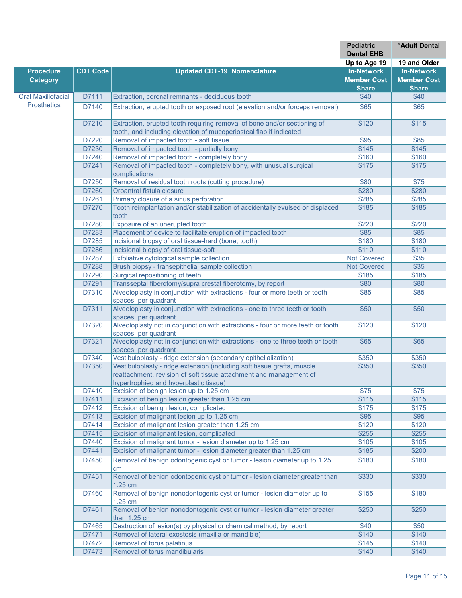| Up to Age 19<br>19 and Older<br><b>CDT Code</b><br><b>In-Network</b><br><b>Procedure</b><br><b>Updated CDT-19 Nomenclature</b><br><b>In-Network</b><br><b>Member Cost</b><br><b>Member Cost</b><br><b>Category</b><br><b>Share</b><br><b>Share</b><br><b>Oral Maxillofacial</b><br>D7111<br>Extraction, coronal remnants - deciduous tooth<br>\$40<br>\$40<br><b>Prosthetics</b><br>D7140<br>Extraction, erupted tooth or exposed root (elevation and/or forceps removal)<br>\$65<br>\$65<br>\$120<br>\$115<br>D7210<br>Extraction, erupted tooth requiring removal of bone and/or sectioning of<br>tooth, and including elevation of mucoperiosteal flap if indicated<br>D7220<br>Removal of impacted tooth - soft tissue<br>\$95<br>\$85<br>D7230<br>Removal of impacted tooth - partially bony<br>\$145<br>\$145<br>Removal of impacted tooth - completely bony<br>D7240<br>\$160<br>\$160<br>D7241<br>Removal of impacted tooth - completely bony, with unusual surgical<br>\$175<br>\$175<br>complications<br>D7250<br>Removal of residual tooth roots (cutting procedure)<br>\$75<br>\$80<br>D7260<br>\$280<br>\$280<br>Oroantral fistula closure<br>Primary closure of a sinus perforation<br>D7261<br>\$285<br>\$285<br>Tooth reimplantation and/or stabilization of accidentally evulsed or displaced<br>D7270<br>\$185<br>\$185<br>tooth<br>Exposure of an unerupted tooth<br>D7280<br>\$220<br>\$220<br>D7283<br>Placement of device to facilitate eruption of impacted tooth<br>\$85<br>\$85<br>Incisional biopsy of oral tissue-hard (bone, tooth)<br>D7285<br>\$180<br>\$180<br>D7286<br>Incisional biopsy of oral tissue-soft<br>\$110<br>\$110<br>D7287<br>Exfoliative cytological sample collection<br><b>Not Covered</b><br>\$35<br>D7288<br>$\overline{$35}$<br>Brush biopsy - transepithelial sample collection<br><b>Not Covered</b><br>D7290<br>Surgical repositioning of teeth<br>\$185<br>\$185<br>D7291<br>Transseptal fiberotomy/supra crestal fiberotomy, by report<br>\$80<br>\$80<br>Alveoloplasty in conjunction with extractions - four or more teeth or tooth<br>D7310<br>\$85<br>\$85<br>spaces, per quadrant<br>D7311<br>Alveoloplasty in conjunction with extractions - one to three teeth or tooth<br>\$50<br>\$50<br>spaces, per quadrant<br>Alveoloplasty not in conjunction with extractions - four or more teeth or tooth<br>D7320<br>\$120<br>\$120<br>spaces, per quadrant<br>Alveoloplasty not in conjunction with extractions - one to three teeth or tooth<br>D7321<br>\$65<br>\$65<br>spaces, per quadrant<br>Vestibuloplasty - ridge extension (secondary epithelialization)<br>\$350<br>D7340<br>\$350<br>D7350<br>Vestibuloplasty - ridge extension (including soft tissue grafts, muscle<br>\$350<br>\$350<br>reattachment, revision of soft tissue attachment and management of<br>hypertrophied and hyperplastic tissue)<br>D7410<br>Excision of benign lesion up to 1.25 cm<br>\$75<br>\$75<br>D7411<br>Excision of benign lesion greater than 1.25 cm<br>\$115<br>\$115<br>D7412<br>Excision of benign lesion, complicated<br>\$175<br>\$175<br>D7413<br>Excision of malignant lesion up to 1.25 cm<br>\$95<br>\$95<br>D7414<br>\$120<br>Excision of malignant lesion greater than 1.25 cm<br>\$120<br>Excision of malignant lesion, complicated<br>\$255<br>D7415<br>\$255<br>D7440<br>\$105<br>Excision of malignant tumor - lesion diameter up to 1.25 cm<br>\$105<br>Excision of malignant tumor - lesion diameter greater than 1.25 cm<br>\$200<br>D7441<br>\$185<br>Removal of benign odontogenic cyst or tumor - lesion diameter up to 1.25<br>D7450<br>\$180<br>\$180<br>cm<br>Removal of benign odontogenic cyst or tumor - lesion diameter greater than<br>D7451<br>\$330<br>\$330<br>1.25 cm<br>Removal of benign nonodontogenic cyst or tumor - lesion diameter up to<br>D7460<br>\$155<br>\$180<br>1.25 cm<br>Removal of benign nonodontogenic cyst or tumor - lesion diameter greater<br>D7461<br>\$250<br>\$250<br>than 1.25 cm<br>Destruction of lesion(s) by physical or chemical method, by report<br>D7465<br>\$40<br>\$50<br>D7471<br>Removal of lateral exostosis (maxilla or mandible)<br>\$140<br>\$140<br>D7472<br>Removal of torus palatinus<br>\$145<br>\$140<br>D7473<br>Removal of torus mandibularis<br>\$140<br>\$140 |  | <b>Pediatric</b>  | *Adult Dental |
|-----------------------------------------------------------------------------------------------------------------------------------------------------------------------------------------------------------------------------------------------------------------------------------------------------------------------------------------------------------------------------------------------------------------------------------------------------------------------------------------------------------------------------------------------------------------------------------------------------------------------------------------------------------------------------------------------------------------------------------------------------------------------------------------------------------------------------------------------------------------------------------------------------------------------------------------------------------------------------------------------------------------------------------------------------------------------------------------------------------------------------------------------------------------------------------------------------------------------------------------------------------------------------------------------------------------------------------------------------------------------------------------------------------------------------------------------------------------------------------------------------------------------------------------------------------------------------------------------------------------------------------------------------------------------------------------------------------------------------------------------------------------------------------------------------------------------------------------------------------------------------------------------------------------------------------------------------------------------------------------------------------------------------------------------------------------------------------------------------------------------------------------------------------------------------------------------------------------------------------------------------------------------------------------------------------------------------------------------------------------------------------------------------------------------------------------------------------------------------------------------------------------------------------------------------------------------------------------------------------------------------------------------------------------------------------------------------------------------------------------------------------------------------------------------------------------------------------------------------------------------------------------------------------------------------------------------------------------------------------------------------------------------------------------------------------------------------------------------------------------------------------------------------------------------------------------------------------------------------------------------------------------------------------------------------------------------------------------------------------------------------------------------------------------------------------------------------------------------------------------------------------------------------------------------------------------------------------------------------------------------------------------------------------------------------------------------------------------------------------------------------------------------------------------------------------------------------------------------------------------------------------------------------------------------------------------------------------------------------------------------------------------------------------------------------------------------------------------------------------------------------------------------------------------------------------------------------------------------------------------------------------------------------------------------------------|--|-------------------|---------------|
|                                                                                                                                                                                                                                                                                                                                                                                                                                                                                                                                                                                                                                                                                                                                                                                                                                                                                                                                                                                                                                                                                                                                                                                                                                                                                                                                                                                                                                                                                                                                                                                                                                                                                                                                                                                                                                                                                                                                                                                                                                                                                                                                                                                                                                                                                                                                                                                                                                                                                                                                                                                                                                                                                                                                                                                                                                                                                                                                                                                                                                                                                                                                                                                                                                                                                                                                                                                                                                                                                                                                                                                                                                                                                                                                                                                                                                                                                                                                                                                                                                                                                                                                                                                                                                                                                                           |  | <b>Dental EHB</b> |               |
|                                                                                                                                                                                                                                                                                                                                                                                                                                                                                                                                                                                                                                                                                                                                                                                                                                                                                                                                                                                                                                                                                                                                                                                                                                                                                                                                                                                                                                                                                                                                                                                                                                                                                                                                                                                                                                                                                                                                                                                                                                                                                                                                                                                                                                                                                                                                                                                                                                                                                                                                                                                                                                                                                                                                                                                                                                                                                                                                                                                                                                                                                                                                                                                                                                                                                                                                                                                                                                                                                                                                                                                                                                                                                                                                                                                                                                                                                                                                                                                                                                                                                                                                                                                                                                                                                                           |  |                   |               |
|                                                                                                                                                                                                                                                                                                                                                                                                                                                                                                                                                                                                                                                                                                                                                                                                                                                                                                                                                                                                                                                                                                                                                                                                                                                                                                                                                                                                                                                                                                                                                                                                                                                                                                                                                                                                                                                                                                                                                                                                                                                                                                                                                                                                                                                                                                                                                                                                                                                                                                                                                                                                                                                                                                                                                                                                                                                                                                                                                                                                                                                                                                                                                                                                                                                                                                                                                                                                                                                                                                                                                                                                                                                                                                                                                                                                                                                                                                                                                                                                                                                                                                                                                                                                                                                                                                           |  |                   |               |
|                                                                                                                                                                                                                                                                                                                                                                                                                                                                                                                                                                                                                                                                                                                                                                                                                                                                                                                                                                                                                                                                                                                                                                                                                                                                                                                                                                                                                                                                                                                                                                                                                                                                                                                                                                                                                                                                                                                                                                                                                                                                                                                                                                                                                                                                                                                                                                                                                                                                                                                                                                                                                                                                                                                                                                                                                                                                                                                                                                                                                                                                                                                                                                                                                                                                                                                                                                                                                                                                                                                                                                                                                                                                                                                                                                                                                                                                                                                                                                                                                                                                                                                                                                                                                                                                                                           |  |                   |               |
|                                                                                                                                                                                                                                                                                                                                                                                                                                                                                                                                                                                                                                                                                                                                                                                                                                                                                                                                                                                                                                                                                                                                                                                                                                                                                                                                                                                                                                                                                                                                                                                                                                                                                                                                                                                                                                                                                                                                                                                                                                                                                                                                                                                                                                                                                                                                                                                                                                                                                                                                                                                                                                                                                                                                                                                                                                                                                                                                                                                                                                                                                                                                                                                                                                                                                                                                                                                                                                                                                                                                                                                                                                                                                                                                                                                                                                                                                                                                                                                                                                                                                                                                                                                                                                                                                                           |  |                   |               |
|                                                                                                                                                                                                                                                                                                                                                                                                                                                                                                                                                                                                                                                                                                                                                                                                                                                                                                                                                                                                                                                                                                                                                                                                                                                                                                                                                                                                                                                                                                                                                                                                                                                                                                                                                                                                                                                                                                                                                                                                                                                                                                                                                                                                                                                                                                                                                                                                                                                                                                                                                                                                                                                                                                                                                                                                                                                                                                                                                                                                                                                                                                                                                                                                                                                                                                                                                                                                                                                                                                                                                                                                                                                                                                                                                                                                                                                                                                                                                                                                                                                                                                                                                                                                                                                                                                           |  |                   |               |
|                                                                                                                                                                                                                                                                                                                                                                                                                                                                                                                                                                                                                                                                                                                                                                                                                                                                                                                                                                                                                                                                                                                                                                                                                                                                                                                                                                                                                                                                                                                                                                                                                                                                                                                                                                                                                                                                                                                                                                                                                                                                                                                                                                                                                                                                                                                                                                                                                                                                                                                                                                                                                                                                                                                                                                                                                                                                                                                                                                                                                                                                                                                                                                                                                                                                                                                                                                                                                                                                                                                                                                                                                                                                                                                                                                                                                                                                                                                                                                                                                                                                                                                                                                                                                                                                                                           |  |                   |               |
|                                                                                                                                                                                                                                                                                                                                                                                                                                                                                                                                                                                                                                                                                                                                                                                                                                                                                                                                                                                                                                                                                                                                                                                                                                                                                                                                                                                                                                                                                                                                                                                                                                                                                                                                                                                                                                                                                                                                                                                                                                                                                                                                                                                                                                                                                                                                                                                                                                                                                                                                                                                                                                                                                                                                                                                                                                                                                                                                                                                                                                                                                                                                                                                                                                                                                                                                                                                                                                                                                                                                                                                                                                                                                                                                                                                                                                                                                                                                                                                                                                                                                                                                                                                                                                                                                                           |  |                   |               |
|                                                                                                                                                                                                                                                                                                                                                                                                                                                                                                                                                                                                                                                                                                                                                                                                                                                                                                                                                                                                                                                                                                                                                                                                                                                                                                                                                                                                                                                                                                                                                                                                                                                                                                                                                                                                                                                                                                                                                                                                                                                                                                                                                                                                                                                                                                                                                                                                                                                                                                                                                                                                                                                                                                                                                                                                                                                                                                                                                                                                                                                                                                                                                                                                                                                                                                                                                                                                                                                                                                                                                                                                                                                                                                                                                                                                                                                                                                                                                                                                                                                                                                                                                                                                                                                                                                           |  |                   |               |
|                                                                                                                                                                                                                                                                                                                                                                                                                                                                                                                                                                                                                                                                                                                                                                                                                                                                                                                                                                                                                                                                                                                                                                                                                                                                                                                                                                                                                                                                                                                                                                                                                                                                                                                                                                                                                                                                                                                                                                                                                                                                                                                                                                                                                                                                                                                                                                                                                                                                                                                                                                                                                                                                                                                                                                                                                                                                                                                                                                                                                                                                                                                                                                                                                                                                                                                                                                                                                                                                                                                                                                                                                                                                                                                                                                                                                                                                                                                                                                                                                                                                                                                                                                                                                                                                                                           |  |                   |               |
|                                                                                                                                                                                                                                                                                                                                                                                                                                                                                                                                                                                                                                                                                                                                                                                                                                                                                                                                                                                                                                                                                                                                                                                                                                                                                                                                                                                                                                                                                                                                                                                                                                                                                                                                                                                                                                                                                                                                                                                                                                                                                                                                                                                                                                                                                                                                                                                                                                                                                                                                                                                                                                                                                                                                                                                                                                                                                                                                                                                                                                                                                                                                                                                                                                                                                                                                                                                                                                                                                                                                                                                                                                                                                                                                                                                                                                                                                                                                                                                                                                                                                                                                                                                                                                                                                                           |  |                   |               |
|                                                                                                                                                                                                                                                                                                                                                                                                                                                                                                                                                                                                                                                                                                                                                                                                                                                                                                                                                                                                                                                                                                                                                                                                                                                                                                                                                                                                                                                                                                                                                                                                                                                                                                                                                                                                                                                                                                                                                                                                                                                                                                                                                                                                                                                                                                                                                                                                                                                                                                                                                                                                                                                                                                                                                                                                                                                                                                                                                                                                                                                                                                                                                                                                                                                                                                                                                                                                                                                                                                                                                                                                                                                                                                                                                                                                                                                                                                                                                                                                                                                                                                                                                                                                                                                                                                           |  |                   |               |
|                                                                                                                                                                                                                                                                                                                                                                                                                                                                                                                                                                                                                                                                                                                                                                                                                                                                                                                                                                                                                                                                                                                                                                                                                                                                                                                                                                                                                                                                                                                                                                                                                                                                                                                                                                                                                                                                                                                                                                                                                                                                                                                                                                                                                                                                                                                                                                                                                                                                                                                                                                                                                                                                                                                                                                                                                                                                                                                                                                                                                                                                                                                                                                                                                                                                                                                                                                                                                                                                                                                                                                                                                                                                                                                                                                                                                                                                                                                                                                                                                                                                                                                                                                                                                                                                                                           |  |                   |               |
|                                                                                                                                                                                                                                                                                                                                                                                                                                                                                                                                                                                                                                                                                                                                                                                                                                                                                                                                                                                                                                                                                                                                                                                                                                                                                                                                                                                                                                                                                                                                                                                                                                                                                                                                                                                                                                                                                                                                                                                                                                                                                                                                                                                                                                                                                                                                                                                                                                                                                                                                                                                                                                                                                                                                                                                                                                                                                                                                                                                                                                                                                                                                                                                                                                                                                                                                                                                                                                                                                                                                                                                                                                                                                                                                                                                                                                                                                                                                                                                                                                                                                                                                                                                                                                                                                                           |  |                   |               |
|                                                                                                                                                                                                                                                                                                                                                                                                                                                                                                                                                                                                                                                                                                                                                                                                                                                                                                                                                                                                                                                                                                                                                                                                                                                                                                                                                                                                                                                                                                                                                                                                                                                                                                                                                                                                                                                                                                                                                                                                                                                                                                                                                                                                                                                                                                                                                                                                                                                                                                                                                                                                                                                                                                                                                                                                                                                                                                                                                                                                                                                                                                                                                                                                                                                                                                                                                                                                                                                                                                                                                                                                                                                                                                                                                                                                                                                                                                                                                                                                                                                                                                                                                                                                                                                                                                           |  |                   |               |
|                                                                                                                                                                                                                                                                                                                                                                                                                                                                                                                                                                                                                                                                                                                                                                                                                                                                                                                                                                                                                                                                                                                                                                                                                                                                                                                                                                                                                                                                                                                                                                                                                                                                                                                                                                                                                                                                                                                                                                                                                                                                                                                                                                                                                                                                                                                                                                                                                                                                                                                                                                                                                                                                                                                                                                                                                                                                                                                                                                                                                                                                                                                                                                                                                                                                                                                                                                                                                                                                                                                                                                                                                                                                                                                                                                                                                                                                                                                                                                                                                                                                                                                                                                                                                                                                                                           |  |                   |               |
|                                                                                                                                                                                                                                                                                                                                                                                                                                                                                                                                                                                                                                                                                                                                                                                                                                                                                                                                                                                                                                                                                                                                                                                                                                                                                                                                                                                                                                                                                                                                                                                                                                                                                                                                                                                                                                                                                                                                                                                                                                                                                                                                                                                                                                                                                                                                                                                                                                                                                                                                                                                                                                                                                                                                                                                                                                                                                                                                                                                                                                                                                                                                                                                                                                                                                                                                                                                                                                                                                                                                                                                                                                                                                                                                                                                                                                                                                                                                                                                                                                                                                                                                                                                                                                                                                                           |  |                   |               |
|                                                                                                                                                                                                                                                                                                                                                                                                                                                                                                                                                                                                                                                                                                                                                                                                                                                                                                                                                                                                                                                                                                                                                                                                                                                                                                                                                                                                                                                                                                                                                                                                                                                                                                                                                                                                                                                                                                                                                                                                                                                                                                                                                                                                                                                                                                                                                                                                                                                                                                                                                                                                                                                                                                                                                                                                                                                                                                                                                                                                                                                                                                                                                                                                                                                                                                                                                                                                                                                                                                                                                                                                                                                                                                                                                                                                                                                                                                                                                                                                                                                                                                                                                                                                                                                                                                           |  |                   |               |
|                                                                                                                                                                                                                                                                                                                                                                                                                                                                                                                                                                                                                                                                                                                                                                                                                                                                                                                                                                                                                                                                                                                                                                                                                                                                                                                                                                                                                                                                                                                                                                                                                                                                                                                                                                                                                                                                                                                                                                                                                                                                                                                                                                                                                                                                                                                                                                                                                                                                                                                                                                                                                                                                                                                                                                                                                                                                                                                                                                                                                                                                                                                                                                                                                                                                                                                                                                                                                                                                                                                                                                                                                                                                                                                                                                                                                                                                                                                                                                                                                                                                                                                                                                                                                                                                                                           |  |                   |               |
|                                                                                                                                                                                                                                                                                                                                                                                                                                                                                                                                                                                                                                                                                                                                                                                                                                                                                                                                                                                                                                                                                                                                                                                                                                                                                                                                                                                                                                                                                                                                                                                                                                                                                                                                                                                                                                                                                                                                                                                                                                                                                                                                                                                                                                                                                                                                                                                                                                                                                                                                                                                                                                                                                                                                                                                                                                                                                                                                                                                                                                                                                                                                                                                                                                                                                                                                                                                                                                                                                                                                                                                                                                                                                                                                                                                                                                                                                                                                                                                                                                                                                                                                                                                                                                                                                                           |  |                   |               |
|                                                                                                                                                                                                                                                                                                                                                                                                                                                                                                                                                                                                                                                                                                                                                                                                                                                                                                                                                                                                                                                                                                                                                                                                                                                                                                                                                                                                                                                                                                                                                                                                                                                                                                                                                                                                                                                                                                                                                                                                                                                                                                                                                                                                                                                                                                                                                                                                                                                                                                                                                                                                                                                                                                                                                                                                                                                                                                                                                                                                                                                                                                                                                                                                                                                                                                                                                                                                                                                                                                                                                                                                                                                                                                                                                                                                                                                                                                                                                                                                                                                                                                                                                                                                                                                                                                           |  |                   |               |
|                                                                                                                                                                                                                                                                                                                                                                                                                                                                                                                                                                                                                                                                                                                                                                                                                                                                                                                                                                                                                                                                                                                                                                                                                                                                                                                                                                                                                                                                                                                                                                                                                                                                                                                                                                                                                                                                                                                                                                                                                                                                                                                                                                                                                                                                                                                                                                                                                                                                                                                                                                                                                                                                                                                                                                                                                                                                                                                                                                                                                                                                                                                                                                                                                                                                                                                                                                                                                                                                                                                                                                                                                                                                                                                                                                                                                                                                                                                                                                                                                                                                                                                                                                                                                                                                                                           |  |                   |               |
|                                                                                                                                                                                                                                                                                                                                                                                                                                                                                                                                                                                                                                                                                                                                                                                                                                                                                                                                                                                                                                                                                                                                                                                                                                                                                                                                                                                                                                                                                                                                                                                                                                                                                                                                                                                                                                                                                                                                                                                                                                                                                                                                                                                                                                                                                                                                                                                                                                                                                                                                                                                                                                                                                                                                                                                                                                                                                                                                                                                                                                                                                                                                                                                                                                                                                                                                                                                                                                                                                                                                                                                                                                                                                                                                                                                                                                                                                                                                                                                                                                                                                                                                                                                                                                                                                                           |  |                   |               |
|                                                                                                                                                                                                                                                                                                                                                                                                                                                                                                                                                                                                                                                                                                                                                                                                                                                                                                                                                                                                                                                                                                                                                                                                                                                                                                                                                                                                                                                                                                                                                                                                                                                                                                                                                                                                                                                                                                                                                                                                                                                                                                                                                                                                                                                                                                                                                                                                                                                                                                                                                                                                                                                                                                                                                                                                                                                                                                                                                                                                                                                                                                                                                                                                                                                                                                                                                                                                                                                                                                                                                                                                                                                                                                                                                                                                                                                                                                                                                                                                                                                                                                                                                                                                                                                                                                           |  |                   |               |
|                                                                                                                                                                                                                                                                                                                                                                                                                                                                                                                                                                                                                                                                                                                                                                                                                                                                                                                                                                                                                                                                                                                                                                                                                                                                                                                                                                                                                                                                                                                                                                                                                                                                                                                                                                                                                                                                                                                                                                                                                                                                                                                                                                                                                                                                                                                                                                                                                                                                                                                                                                                                                                                                                                                                                                                                                                                                                                                                                                                                                                                                                                                                                                                                                                                                                                                                                                                                                                                                                                                                                                                                                                                                                                                                                                                                                                                                                                                                                                                                                                                                                                                                                                                                                                                                                                           |  |                   |               |
|                                                                                                                                                                                                                                                                                                                                                                                                                                                                                                                                                                                                                                                                                                                                                                                                                                                                                                                                                                                                                                                                                                                                                                                                                                                                                                                                                                                                                                                                                                                                                                                                                                                                                                                                                                                                                                                                                                                                                                                                                                                                                                                                                                                                                                                                                                                                                                                                                                                                                                                                                                                                                                                                                                                                                                                                                                                                                                                                                                                                                                                                                                                                                                                                                                                                                                                                                                                                                                                                                                                                                                                                                                                                                                                                                                                                                                                                                                                                                                                                                                                                                                                                                                                                                                                                                                           |  |                   |               |
|                                                                                                                                                                                                                                                                                                                                                                                                                                                                                                                                                                                                                                                                                                                                                                                                                                                                                                                                                                                                                                                                                                                                                                                                                                                                                                                                                                                                                                                                                                                                                                                                                                                                                                                                                                                                                                                                                                                                                                                                                                                                                                                                                                                                                                                                                                                                                                                                                                                                                                                                                                                                                                                                                                                                                                                                                                                                                                                                                                                                                                                                                                                                                                                                                                                                                                                                                                                                                                                                                                                                                                                                                                                                                                                                                                                                                                                                                                                                                                                                                                                                                                                                                                                                                                                                                                           |  |                   |               |
|                                                                                                                                                                                                                                                                                                                                                                                                                                                                                                                                                                                                                                                                                                                                                                                                                                                                                                                                                                                                                                                                                                                                                                                                                                                                                                                                                                                                                                                                                                                                                                                                                                                                                                                                                                                                                                                                                                                                                                                                                                                                                                                                                                                                                                                                                                                                                                                                                                                                                                                                                                                                                                                                                                                                                                                                                                                                                                                                                                                                                                                                                                                                                                                                                                                                                                                                                                                                                                                                                                                                                                                                                                                                                                                                                                                                                                                                                                                                                                                                                                                                                                                                                                                                                                                                                                           |  |                   |               |
|                                                                                                                                                                                                                                                                                                                                                                                                                                                                                                                                                                                                                                                                                                                                                                                                                                                                                                                                                                                                                                                                                                                                                                                                                                                                                                                                                                                                                                                                                                                                                                                                                                                                                                                                                                                                                                                                                                                                                                                                                                                                                                                                                                                                                                                                                                                                                                                                                                                                                                                                                                                                                                                                                                                                                                                                                                                                                                                                                                                                                                                                                                                                                                                                                                                                                                                                                                                                                                                                                                                                                                                                                                                                                                                                                                                                                                                                                                                                                                                                                                                                                                                                                                                                                                                                                                           |  |                   |               |
|                                                                                                                                                                                                                                                                                                                                                                                                                                                                                                                                                                                                                                                                                                                                                                                                                                                                                                                                                                                                                                                                                                                                                                                                                                                                                                                                                                                                                                                                                                                                                                                                                                                                                                                                                                                                                                                                                                                                                                                                                                                                                                                                                                                                                                                                                                                                                                                                                                                                                                                                                                                                                                                                                                                                                                                                                                                                                                                                                                                                                                                                                                                                                                                                                                                                                                                                                                                                                                                                                                                                                                                                                                                                                                                                                                                                                                                                                                                                                                                                                                                                                                                                                                                                                                                                                                           |  |                   |               |
|                                                                                                                                                                                                                                                                                                                                                                                                                                                                                                                                                                                                                                                                                                                                                                                                                                                                                                                                                                                                                                                                                                                                                                                                                                                                                                                                                                                                                                                                                                                                                                                                                                                                                                                                                                                                                                                                                                                                                                                                                                                                                                                                                                                                                                                                                                                                                                                                                                                                                                                                                                                                                                                                                                                                                                                                                                                                                                                                                                                                                                                                                                                                                                                                                                                                                                                                                                                                                                                                                                                                                                                                                                                                                                                                                                                                                                                                                                                                                                                                                                                                                                                                                                                                                                                                                                           |  |                   |               |
|                                                                                                                                                                                                                                                                                                                                                                                                                                                                                                                                                                                                                                                                                                                                                                                                                                                                                                                                                                                                                                                                                                                                                                                                                                                                                                                                                                                                                                                                                                                                                                                                                                                                                                                                                                                                                                                                                                                                                                                                                                                                                                                                                                                                                                                                                                                                                                                                                                                                                                                                                                                                                                                                                                                                                                                                                                                                                                                                                                                                                                                                                                                                                                                                                                                                                                                                                                                                                                                                                                                                                                                                                                                                                                                                                                                                                                                                                                                                                                                                                                                                                                                                                                                                                                                                                                           |  |                   |               |
|                                                                                                                                                                                                                                                                                                                                                                                                                                                                                                                                                                                                                                                                                                                                                                                                                                                                                                                                                                                                                                                                                                                                                                                                                                                                                                                                                                                                                                                                                                                                                                                                                                                                                                                                                                                                                                                                                                                                                                                                                                                                                                                                                                                                                                                                                                                                                                                                                                                                                                                                                                                                                                                                                                                                                                                                                                                                                                                                                                                                                                                                                                                                                                                                                                                                                                                                                                                                                                                                                                                                                                                                                                                                                                                                                                                                                                                                                                                                                                                                                                                                                                                                                                                                                                                                                                           |  |                   |               |
|                                                                                                                                                                                                                                                                                                                                                                                                                                                                                                                                                                                                                                                                                                                                                                                                                                                                                                                                                                                                                                                                                                                                                                                                                                                                                                                                                                                                                                                                                                                                                                                                                                                                                                                                                                                                                                                                                                                                                                                                                                                                                                                                                                                                                                                                                                                                                                                                                                                                                                                                                                                                                                                                                                                                                                                                                                                                                                                                                                                                                                                                                                                                                                                                                                                                                                                                                                                                                                                                                                                                                                                                                                                                                                                                                                                                                                                                                                                                                                                                                                                                                                                                                                                                                                                                                                           |  |                   |               |
|                                                                                                                                                                                                                                                                                                                                                                                                                                                                                                                                                                                                                                                                                                                                                                                                                                                                                                                                                                                                                                                                                                                                                                                                                                                                                                                                                                                                                                                                                                                                                                                                                                                                                                                                                                                                                                                                                                                                                                                                                                                                                                                                                                                                                                                                                                                                                                                                                                                                                                                                                                                                                                                                                                                                                                                                                                                                                                                                                                                                                                                                                                                                                                                                                                                                                                                                                                                                                                                                                                                                                                                                                                                                                                                                                                                                                                                                                                                                                                                                                                                                                                                                                                                                                                                                                                           |  |                   |               |
|                                                                                                                                                                                                                                                                                                                                                                                                                                                                                                                                                                                                                                                                                                                                                                                                                                                                                                                                                                                                                                                                                                                                                                                                                                                                                                                                                                                                                                                                                                                                                                                                                                                                                                                                                                                                                                                                                                                                                                                                                                                                                                                                                                                                                                                                                                                                                                                                                                                                                                                                                                                                                                                                                                                                                                                                                                                                                                                                                                                                                                                                                                                                                                                                                                                                                                                                                                                                                                                                                                                                                                                                                                                                                                                                                                                                                                                                                                                                                                                                                                                                                                                                                                                                                                                                                                           |  |                   |               |
|                                                                                                                                                                                                                                                                                                                                                                                                                                                                                                                                                                                                                                                                                                                                                                                                                                                                                                                                                                                                                                                                                                                                                                                                                                                                                                                                                                                                                                                                                                                                                                                                                                                                                                                                                                                                                                                                                                                                                                                                                                                                                                                                                                                                                                                                                                                                                                                                                                                                                                                                                                                                                                                                                                                                                                                                                                                                                                                                                                                                                                                                                                                                                                                                                                                                                                                                                                                                                                                                                                                                                                                                                                                                                                                                                                                                                                                                                                                                                                                                                                                                                                                                                                                                                                                                                                           |  |                   |               |
|                                                                                                                                                                                                                                                                                                                                                                                                                                                                                                                                                                                                                                                                                                                                                                                                                                                                                                                                                                                                                                                                                                                                                                                                                                                                                                                                                                                                                                                                                                                                                                                                                                                                                                                                                                                                                                                                                                                                                                                                                                                                                                                                                                                                                                                                                                                                                                                                                                                                                                                                                                                                                                                                                                                                                                                                                                                                                                                                                                                                                                                                                                                                                                                                                                                                                                                                                                                                                                                                                                                                                                                                                                                                                                                                                                                                                                                                                                                                                                                                                                                                                                                                                                                                                                                                                                           |  |                   |               |
|                                                                                                                                                                                                                                                                                                                                                                                                                                                                                                                                                                                                                                                                                                                                                                                                                                                                                                                                                                                                                                                                                                                                                                                                                                                                                                                                                                                                                                                                                                                                                                                                                                                                                                                                                                                                                                                                                                                                                                                                                                                                                                                                                                                                                                                                                                                                                                                                                                                                                                                                                                                                                                                                                                                                                                                                                                                                                                                                                                                                                                                                                                                                                                                                                                                                                                                                                                                                                                                                                                                                                                                                                                                                                                                                                                                                                                                                                                                                                                                                                                                                                                                                                                                                                                                                                                           |  |                   |               |
|                                                                                                                                                                                                                                                                                                                                                                                                                                                                                                                                                                                                                                                                                                                                                                                                                                                                                                                                                                                                                                                                                                                                                                                                                                                                                                                                                                                                                                                                                                                                                                                                                                                                                                                                                                                                                                                                                                                                                                                                                                                                                                                                                                                                                                                                                                                                                                                                                                                                                                                                                                                                                                                                                                                                                                                                                                                                                                                                                                                                                                                                                                                                                                                                                                                                                                                                                                                                                                                                                                                                                                                                                                                                                                                                                                                                                                                                                                                                                                                                                                                                                                                                                                                                                                                                                                           |  |                   |               |
|                                                                                                                                                                                                                                                                                                                                                                                                                                                                                                                                                                                                                                                                                                                                                                                                                                                                                                                                                                                                                                                                                                                                                                                                                                                                                                                                                                                                                                                                                                                                                                                                                                                                                                                                                                                                                                                                                                                                                                                                                                                                                                                                                                                                                                                                                                                                                                                                                                                                                                                                                                                                                                                                                                                                                                                                                                                                                                                                                                                                                                                                                                                                                                                                                                                                                                                                                                                                                                                                                                                                                                                                                                                                                                                                                                                                                                                                                                                                                                                                                                                                                                                                                                                                                                                                                                           |  |                   |               |
|                                                                                                                                                                                                                                                                                                                                                                                                                                                                                                                                                                                                                                                                                                                                                                                                                                                                                                                                                                                                                                                                                                                                                                                                                                                                                                                                                                                                                                                                                                                                                                                                                                                                                                                                                                                                                                                                                                                                                                                                                                                                                                                                                                                                                                                                                                                                                                                                                                                                                                                                                                                                                                                                                                                                                                                                                                                                                                                                                                                                                                                                                                                                                                                                                                                                                                                                                                                                                                                                                                                                                                                                                                                                                                                                                                                                                                                                                                                                                                                                                                                                                                                                                                                                                                                                                                           |  |                   |               |
|                                                                                                                                                                                                                                                                                                                                                                                                                                                                                                                                                                                                                                                                                                                                                                                                                                                                                                                                                                                                                                                                                                                                                                                                                                                                                                                                                                                                                                                                                                                                                                                                                                                                                                                                                                                                                                                                                                                                                                                                                                                                                                                                                                                                                                                                                                                                                                                                                                                                                                                                                                                                                                                                                                                                                                                                                                                                                                                                                                                                                                                                                                                                                                                                                                                                                                                                                                                                                                                                                                                                                                                                                                                                                                                                                                                                                                                                                                                                                                                                                                                                                                                                                                                                                                                                                                           |  |                   |               |
|                                                                                                                                                                                                                                                                                                                                                                                                                                                                                                                                                                                                                                                                                                                                                                                                                                                                                                                                                                                                                                                                                                                                                                                                                                                                                                                                                                                                                                                                                                                                                                                                                                                                                                                                                                                                                                                                                                                                                                                                                                                                                                                                                                                                                                                                                                                                                                                                                                                                                                                                                                                                                                                                                                                                                                                                                                                                                                                                                                                                                                                                                                                                                                                                                                                                                                                                                                                                                                                                                                                                                                                                                                                                                                                                                                                                                                                                                                                                                                                                                                                                                                                                                                                                                                                                                                           |  |                   |               |
|                                                                                                                                                                                                                                                                                                                                                                                                                                                                                                                                                                                                                                                                                                                                                                                                                                                                                                                                                                                                                                                                                                                                                                                                                                                                                                                                                                                                                                                                                                                                                                                                                                                                                                                                                                                                                                                                                                                                                                                                                                                                                                                                                                                                                                                                                                                                                                                                                                                                                                                                                                                                                                                                                                                                                                                                                                                                                                                                                                                                                                                                                                                                                                                                                                                                                                                                                                                                                                                                                                                                                                                                                                                                                                                                                                                                                                                                                                                                                                                                                                                                                                                                                                                                                                                                                                           |  |                   |               |
|                                                                                                                                                                                                                                                                                                                                                                                                                                                                                                                                                                                                                                                                                                                                                                                                                                                                                                                                                                                                                                                                                                                                                                                                                                                                                                                                                                                                                                                                                                                                                                                                                                                                                                                                                                                                                                                                                                                                                                                                                                                                                                                                                                                                                                                                                                                                                                                                                                                                                                                                                                                                                                                                                                                                                                                                                                                                                                                                                                                                                                                                                                                                                                                                                                                                                                                                                                                                                                                                                                                                                                                                                                                                                                                                                                                                                                                                                                                                                                                                                                                                                                                                                                                                                                                                                                           |  |                   |               |
|                                                                                                                                                                                                                                                                                                                                                                                                                                                                                                                                                                                                                                                                                                                                                                                                                                                                                                                                                                                                                                                                                                                                                                                                                                                                                                                                                                                                                                                                                                                                                                                                                                                                                                                                                                                                                                                                                                                                                                                                                                                                                                                                                                                                                                                                                                                                                                                                                                                                                                                                                                                                                                                                                                                                                                                                                                                                                                                                                                                                                                                                                                                                                                                                                                                                                                                                                                                                                                                                                                                                                                                                                                                                                                                                                                                                                                                                                                                                                                                                                                                                                                                                                                                                                                                                                                           |  |                   |               |
|                                                                                                                                                                                                                                                                                                                                                                                                                                                                                                                                                                                                                                                                                                                                                                                                                                                                                                                                                                                                                                                                                                                                                                                                                                                                                                                                                                                                                                                                                                                                                                                                                                                                                                                                                                                                                                                                                                                                                                                                                                                                                                                                                                                                                                                                                                                                                                                                                                                                                                                                                                                                                                                                                                                                                                                                                                                                                                                                                                                                                                                                                                                                                                                                                                                                                                                                                                                                                                                                                                                                                                                                                                                                                                                                                                                                                                                                                                                                                                                                                                                                                                                                                                                                                                                                                                           |  |                   |               |
|                                                                                                                                                                                                                                                                                                                                                                                                                                                                                                                                                                                                                                                                                                                                                                                                                                                                                                                                                                                                                                                                                                                                                                                                                                                                                                                                                                                                                                                                                                                                                                                                                                                                                                                                                                                                                                                                                                                                                                                                                                                                                                                                                                                                                                                                                                                                                                                                                                                                                                                                                                                                                                                                                                                                                                                                                                                                                                                                                                                                                                                                                                                                                                                                                                                                                                                                                                                                                                                                                                                                                                                                                                                                                                                                                                                                                                                                                                                                                                                                                                                                                                                                                                                                                                                                                                           |  |                   |               |
|                                                                                                                                                                                                                                                                                                                                                                                                                                                                                                                                                                                                                                                                                                                                                                                                                                                                                                                                                                                                                                                                                                                                                                                                                                                                                                                                                                                                                                                                                                                                                                                                                                                                                                                                                                                                                                                                                                                                                                                                                                                                                                                                                                                                                                                                                                                                                                                                                                                                                                                                                                                                                                                                                                                                                                                                                                                                                                                                                                                                                                                                                                                                                                                                                                                                                                                                                                                                                                                                                                                                                                                                                                                                                                                                                                                                                                                                                                                                                                                                                                                                                                                                                                                                                                                                                                           |  |                   |               |
|                                                                                                                                                                                                                                                                                                                                                                                                                                                                                                                                                                                                                                                                                                                                                                                                                                                                                                                                                                                                                                                                                                                                                                                                                                                                                                                                                                                                                                                                                                                                                                                                                                                                                                                                                                                                                                                                                                                                                                                                                                                                                                                                                                                                                                                                                                                                                                                                                                                                                                                                                                                                                                                                                                                                                                                                                                                                                                                                                                                                                                                                                                                                                                                                                                                                                                                                                                                                                                                                                                                                                                                                                                                                                                                                                                                                                                                                                                                                                                                                                                                                                                                                                                                                                                                                                                           |  |                   |               |
|                                                                                                                                                                                                                                                                                                                                                                                                                                                                                                                                                                                                                                                                                                                                                                                                                                                                                                                                                                                                                                                                                                                                                                                                                                                                                                                                                                                                                                                                                                                                                                                                                                                                                                                                                                                                                                                                                                                                                                                                                                                                                                                                                                                                                                                                                                                                                                                                                                                                                                                                                                                                                                                                                                                                                                                                                                                                                                                                                                                                                                                                                                                                                                                                                                                                                                                                                                                                                                                                                                                                                                                                                                                                                                                                                                                                                                                                                                                                                                                                                                                                                                                                                                                                                                                                                                           |  |                   |               |
|                                                                                                                                                                                                                                                                                                                                                                                                                                                                                                                                                                                                                                                                                                                                                                                                                                                                                                                                                                                                                                                                                                                                                                                                                                                                                                                                                                                                                                                                                                                                                                                                                                                                                                                                                                                                                                                                                                                                                                                                                                                                                                                                                                                                                                                                                                                                                                                                                                                                                                                                                                                                                                                                                                                                                                                                                                                                                                                                                                                                                                                                                                                                                                                                                                                                                                                                                                                                                                                                                                                                                                                                                                                                                                                                                                                                                                                                                                                                                                                                                                                                                                                                                                                                                                                                                                           |  |                   |               |
|                                                                                                                                                                                                                                                                                                                                                                                                                                                                                                                                                                                                                                                                                                                                                                                                                                                                                                                                                                                                                                                                                                                                                                                                                                                                                                                                                                                                                                                                                                                                                                                                                                                                                                                                                                                                                                                                                                                                                                                                                                                                                                                                                                                                                                                                                                                                                                                                                                                                                                                                                                                                                                                                                                                                                                                                                                                                                                                                                                                                                                                                                                                                                                                                                                                                                                                                                                                                                                                                                                                                                                                                                                                                                                                                                                                                                                                                                                                                                                                                                                                                                                                                                                                                                                                                                                           |  |                   |               |
|                                                                                                                                                                                                                                                                                                                                                                                                                                                                                                                                                                                                                                                                                                                                                                                                                                                                                                                                                                                                                                                                                                                                                                                                                                                                                                                                                                                                                                                                                                                                                                                                                                                                                                                                                                                                                                                                                                                                                                                                                                                                                                                                                                                                                                                                                                                                                                                                                                                                                                                                                                                                                                                                                                                                                                                                                                                                                                                                                                                                                                                                                                                                                                                                                                                                                                                                                                                                                                                                                                                                                                                                                                                                                                                                                                                                                                                                                                                                                                                                                                                                                                                                                                                                                                                                                                           |  |                   |               |
|                                                                                                                                                                                                                                                                                                                                                                                                                                                                                                                                                                                                                                                                                                                                                                                                                                                                                                                                                                                                                                                                                                                                                                                                                                                                                                                                                                                                                                                                                                                                                                                                                                                                                                                                                                                                                                                                                                                                                                                                                                                                                                                                                                                                                                                                                                                                                                                                                                                                                                                                                                                                                                                                                                                                                                                                                                                                                                                                                                                                                                                                                                                                                                                                                                                                                                                                                                                                                                                                                                                                                                                                                                                                                                                                                                                                                                                                                                                                                                                                                                                                                                                                                                                                                                                                                                           |  |                   |               |
|                                                                                                                                                                                                                                                                                                                                                                                                                                                                                                                                                                                                                                                                                                                                                                                                                                                                                                                                                                                                                                                                                                                                                                                                                                                                                                                                                                                                                                                                                                                                                                                                                                                                                                                                                                                                                                                                                                                                                                                                                                                                                                                                                                                                                                                                                                                                                                                                                                                                                                                                                                                                                                                                                                                                                                                                                                                                                                                                                                                                                                                                                                                                                                                                                                                                                                                                                                                                                                                                                                                                                                                                                                                                                                                                                                                                                                                                                                                                                                                                                                                                                                                                                                                                                                                                                                           |  |                   |               |
|                                                                                                                                                                                                                                                                                                                                                                                                                                                                                                                                                                                                                                                                                                                                                                                                                                                                                                                                                                                                                                                                                                                                                                                                                                                                                                                                                                                                                                                                                                                                                                                                                                                                                                                                                                                                                                                                                                                                                                                                                                                                                                                                                                                                                                                                                                                                                                                                                                                                                                                                                                                                                                                                                                                                                                                                                                                                                                                                                                                                                                                                                                                                                                                                                                                                                                                                                                                                                                                                                                                                                                                                                                                                                                                                                                                                                                                                                                                                                                                                                                                                                                                                                                                                                                                                                                           |  |                   |               |
|                                                                                                                                                                                                                                                                                                                                                                                                                                                                                                                                                                                                                                                                                                                                                                                                                                                                                                                                                                                                                                                                                                                                                                                                                                                                                                                                                                                                                                                                                                                                                                                                                                                                                                                                                                                                                                                                                                                                                                                                                                                                                                                                                                                                                                                                                                                                                                                                                                                                                                                                                                                                                                                                                                                                                                                                                                                                                                                                                                                                                                                                                                                                                                                                                                                                                                                                                                                                                                                                                                                                                                                                                                                                                                                                                                                                                                                                                                                                                                                                                                                                                                                                                                                                                                                                                                           |  |                   |               |
|                                                                                                                                                                                                                                                                                                                                                                                                                                                                                                                                                                                                                                                                                                                                                                                                                                                                                                                                                                                                                                                                                                                                                                                                                                                                                                                                                                                                                                                                                                                                                                                                                                                                                                                                                                                                                                                                                                                                                                                                                                                                                                                                                                                                                                                                                                                                                                                                                                                                                                                                                                                                                                                                                                                                                                                                                                                                                                                                                                                                                                                                                                                                                                                                                                                                                                                                                                                                                                                                                                                                                                                                                                                                                                                                                                                                                                                                                                                                                                                                                                                                                                                                                                                                                                                                                                           |  |                   |               |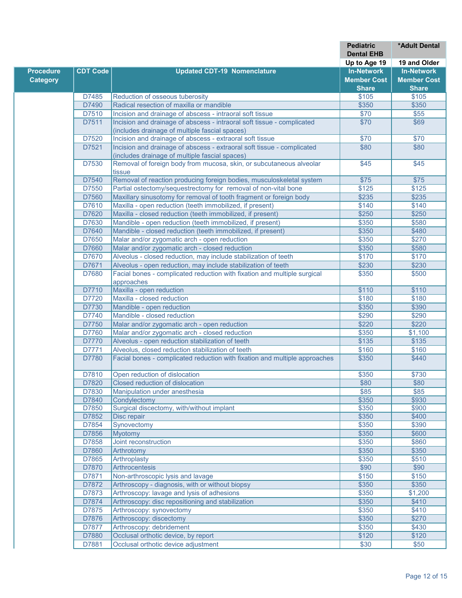|                  |                 |                                                                             | <b>Pediatric</b>      | *Adult Dental         |
|------------------|-----------------|-----------------------------------------------------------------------------|-----------------------|-----------------------|
|                  |                 |                                                                             | <b>Dental EHB</b>     |                       |
|                  |                 |                                                                             | Up to Age 19          | 19 and Older          |
| <b>Procedure</b> | <b>CDT Code</b> | <b>Updated CDT-19 Nomenclature</b>                                          | <b>In-Network</b>     | <b>In-Network</b>     |
| <b>Category</b>  |                 |                                                                             | <b>Member Cost</b>    | <b>Member Cost</b>    |
|                  |                 |                                                                             | <b>Share</b><br>\$105 | <b>Share</b><br>\$105 |
|                  | D7485<br>D7490  | Reduction of osseous tuberosity<br>Radical resection of maxilla or mandible | \$350                 | \$350                 |
|                  | D7510           | Incision and drainage of abscess - intraoral soft tissue                    | \$70                  | \$55                  |
|                  | D7511           | Incision and drainage of abscess - intraoral soft tissue - complicated      | \$70                  | \$69                  |
|                  |                 | (includes drainage of multiple fascial spaces)                              |                       |                       |
|                  | D7520           | Incision and drainage of abscess - extraoral soft tissue                    | \$70                  | \$70                  |
|                  | D7521           | Incision and drainage of abscess - extraoral soft tissue - complicated      | \$80                  | \$80                  |
|                  |                 | (includes drainage of multiple fascial spaces)                              |                       |                       |
|                  | D7530           | Removal of foreign body from mucosa, skin, or subcutaneous alveolar         | \$45                  | \$45                  |
|                  |                 | tissue                                                                      |                       |                       |
|                  | D7540           | Removal of reaction producing foreign bodies, musculoskeletal system        | \$75                  | \$75                  |
|                  | D7550           | Partial ostectomy/sequestrectomy for removal of non-vital bone              | \$125                 | \$125                 |
|                  | D7560           | Maxillary sinusotomy for removal of tooth fragment or foreign body          | \$235                 | \$235                 |
|                  | D7610           | Maxilla - open reduction (teeth immobilized, if present)                    | \$140                 | \$140                 |
|                  | D7620           | Maxilla - closed reduction (teeth immobilized, if present)                  | \$250                 | \$250                 |
|                  | D7630           | Mandible - open reduction (teeth immobilized, if present)                   | \$350                 | \$580                 |
|                  | D7640           | Mandible - closed reduction (teeth immobilized, if present)                 | \$350                 | \$480                 |
|                  | D7650           | Malar and/or zygomatic arch - open reduction                                | \$350                 | \$270                 |
|                  | D7660           | Malar and/or zygomatic arch - closed reduction                              | \$350                 | \$580                 |
|                  | D7670           | Alveolus - closed reduction, may include stabilization of teeth             | \$170                 | \$170                 |
|                  | D7671           | Alveolus - open reduction, may include stabilization of teeth               | \$230                 | \$230                 |
|                  | D7680           | Facial bones - complicated reduction with fixation and multiple surgical    | \$350                 | \$500                 |
|                  |                 | approaches                                                                  |                       |                       |
|                  | D7710           | Maxilla - open reduction                                                    | \$110                 | \$110                 |
|                  | D7720           | Maxilla - closed reduction                                                  | \$180                 | \$180                 |
|                  | D7730           | Mandible - open reduction                                                   | \$350                 | \$390                 |
|                  | D7740           | Mandible - closed reduction                                                 | \$290                 | \$290                 |
|                  | D7750           | Malar and/or zygomatic arch - open reduction                                | \$220                 | \$220                 |
|                  | D7760           | Malar and/or zygomatic arch - closed reduction                              | \$350                 | \$1,100               |
|                  | D7770           | Alveolus - open reduction stabilization of teeth                            | \$135                 | \$135                 |
|                  | D7771           | Alveolus, closed reduction stabilization of teeth                           | \$160                 | \$160                 |
|                  | D7780           | Facial bones - complicated reduction with fixation and multiple approaches  | \$350                 | \$440                 |
|                  | D7810           | Open reduction of dislocation                                               | \$350                 | \$730                 |
|                  | D7820           | Closed reduction of dislocation                                             | \$80                  | \$80                  |
|                  | D7830           | Manipulation under anesthesia                                               | \$85                  | \$85                  |
|                  | D7840           | Condvlectomv                                                                | \$350                 | \$930                 |
|                  | D7850           | Surgical discectomy, with/without implant                                   | \$350                 | \$900                 |
|                  | D7852           | Disc repair                                                                 | \$350                 | \$400                 |
|                  | D7854           | Synovectomy                                                                 | \$350                 | \$390                 |
|                  | D7856           | <b>Myotomy</b>                                                              | \$350                 | \$600                 |
|                  | D7858           | Joint reconstruction                                                        | \$350                 | \$860                 |
|                  | D7860           | Arthrotomy                                                                  | \$350                 | \$350                 |
|                  | D7865           | Arthroplasty                                                                | \$350                 | \$510                 |
|                  | D7870           | Arthrocentesis                                                              | \$90                  | \$90                  |
|                  | D7871           | Non-arthroscopic lysis and lavage                                           | \$150                 | \$150                 |
|                  | D7872           | Arthroscopy - diagnosis, with or without biopsy                             | \$350                 | \$350                 |
|                  | D7873           | Arthroscopy: lavage and lysis of adhesions                                  | \$350                 | \$1,200               |
|                  | D7874           | Arthroscopy: disc repositioning and stabilization                           | \$350                 | \$410                 |
|                  | D7875           | Arthroscopy: synovectomy                                                    | \$350                 | \$410                 |
|                  | D7876           | Arthroscopy: discectomy                                                     | \$350                 | \$270                 |
|                  | D7877           | Arthroscopy: debridement                                                    | \$350                 | \$430                 |
|                  | D7880           | Occlusal orthotic device, by report                                         | \$120                 | \$120                 |
|                  | D7881           | Occlusal orthotic device adjustment                                         | \$30                  | \$50                  |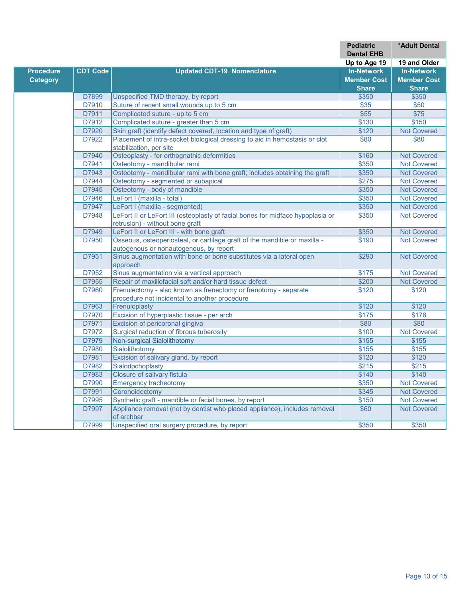|                  |                 |                                                                                         | <b>Pediatric</b>   | *Adult Dental      |
|------------------|-----------------|-----------------------------------------------------------------------------------------|--------------------|--------------------|
|                  |                 |                                                                                         | <b>Dental EHB</b>  |                    |
|                  |                 |                                                                                         | Up to Age 19       | 19 and Older       |
| <b>Procedure</b> | <b>CDT Code</b> | <b>Updated CDT-19 Nomenclature</b>                                                      | <b>In-Network</b>  | <b>In-Network</b>  |
| <b>Category</b>  |                 |                                                                                         | <b>Member Cost</b> | <b>Member Cost</b> |
|                  |                 |                                                                                         | <b>Share</b>       | <b>Share</b>       |
|                  | D7899           | Unspecified TMD therapy, by report                                                      | \$350              | \$350              |
|                  | D7910           | Suture of recent small wounds up to 5 cm                                                | \$35               | $\overline{$50}$   |
|                  | D7911           | Complicated suture - up to 5 cm                                                         | \$55               | $\overline{$75}$   |
|                  | D7912           | Complicated suture - greater than 5 cm                                                  | \$130              | \$150              |
|                  | D7920           | Skin graft (identify defect covered, location and type of graft)                        | \$120              | <b>Not Covered</b> |
|                  | D7922           | Placement of intra-socket biological dressing to aid in hemostasis or clot              | \$80               | $\overline{$80}$   |
|                  |                 | stabilization, per site                                                                 |                    |                    |
|                  | D7940           | Osteoplasty - for orthognathic deformities                                              | \$160              | <b>Not Covered</b> |
|                  | D7941           | Osteotomy - mandibular rami                                                             | \$350              | <b>Not Covered</b> |
|                  | D7943           | Osteotomy - mandibular rami with bone graft; includes obtaining the graft               | \$350              | <b>Not Covered</b> |
|                  | D7944           | Osteotomy - segmented or subapical                                                      | \$275              | <b>Not Covered</b> |
|                  | D7945           | Osteotomy - body of mandible                                                            | \$350              | <b>Not Covered</b> |
|                  | D7946           | LeFort I (maxilla - total)                                                              | \$350              | <b>Not Covered</b> |
|                  | D7947           | LeFort I (maxilla - segmented)                                                          | \$350              | <b>Not Covered</b> |
|                  | D7948           | LeFort II or LeFort III (osteoplasty of facial bones for midface hypoplasia or          | \$350              | <b>Not Covered</b> |
|                  |                 | retrusion) - without bone graft                                                         |                    |                    |
|                  | D7949           | LeFort II or LeFort III - with bone graft                                               | \$350              | <b>Not Covered</b> |
|                  | D7950           | Osseous, osteoperiosteal, or cartilage graft of the mandible or maxilla -               | \$190              | <b>Not Covered</b> |
|                  |                 | autogenous or nonautogenous, by report                                                  |                    |                    |
|                  | D7951           | Sinus augmentation with bone or bone substitutes via a lateral open                     | \$290              | <b>Not Covered</b> |
|                  |                 | approach                                                                                |                    |                    |
|                  | D7952           | Sinus augmentation via a vertical approach                                              | \$175              | <b>Not Covered</b> |
|                  | D7955           | Repair of maxillofacial soft and/or hard tissue defect                                  | \$200              | <b>Not Covered</b> |
|                  | D7960           | Frenulectomy - also known as frenectomy or frenotomy - separate                         | \$120              | \$120              |
|                  |                 | procedure not incidental to another procedure                                           |                    |                    |
|                  | D7963           | Frenuloplasty                                                                           | \$120              | \$120              |
|                  | D7970           | Excision of hyperplastic tissue - per arch                                              | \$175              | \$176              |
|                  | D7971           | Excision of pericoronal gingiva                                                         | \$80               | \$80               |
|                  | D7972           | Surgical reduction of fibrous tuberosity                                                | \$100              | <b>Not Covered</b> |
|                  | D7979           | Non-surgical Sialolithotomy                                                             | \$155              | \$155              |
|                  | D7980           | Sialolithotomy                                                                          | \$155              | \$155              |
|                  | D7981           | Excision of salivary gland, by report                                                   | \$120              | \$120              |
|                  | D7982           | Sialodochoplasty                                                                        | \$215              | \$215              |
|                  | D7983           | <b>Closure of salivary fistula</b>                                                      | \$140              | \$140              |
|                  | D7990           | <b>Emergency tracheotomy</b>                                                            | \$350              | <b>Not Covered</b> |
|                  | D7991           | Coronoidectomy                                                                          | \$345              | <b>Not Covered</b> |
|                  | D7995           | Synthetic graft - mandible or facial bones, by report                                   | \$150              | <b>Not Covered</b> |
|                  | D7997           | Appliance removal (not by dentist who placed appliance), includes removal<br>of archbar | \$60               | <b>Not Covered</b> |
|                  | D7999           | Unspecified oral surgery procedure, by report                                           | \$350              | \$350              |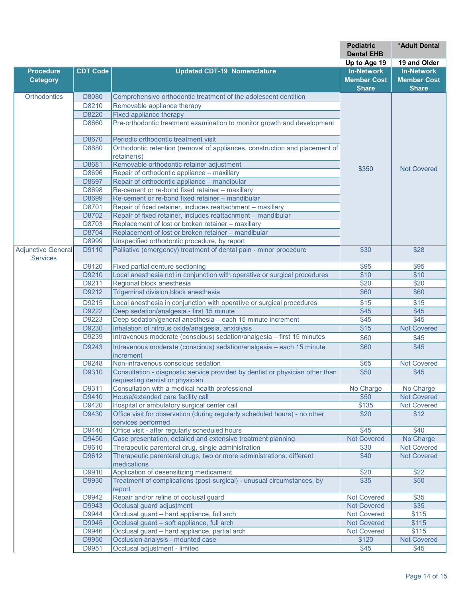|                           |                 |                                                                                                                    | <b>Pediatric</b><br><b>Dental EHB</b> | *Adult Dental      |
|---------------------------|-----------------|--------------------------------------------------------------------------------------------------------------------|---------------------------------------|--------------------|
|                           |                 |                                                                                                                    | Up to Age 19                          | 19 and Older       |
| <b>Procedure</b>          | <b>CDT Code</b> | <b>Updated CDT-19 Nomenclature</b>                                                                                 | <b>In-Network</b>                     | <b>In-Network</b>  |
| <b>Category</b>           |                 |                                                                                                                    | <b>Member Cost</b>                    | <b>Member Cost</b> |
| Orthodontics              | D8080           | Comprehensive orthodontic treatment of the adolescent dentition                                                    | <b>Share</b>                          | <b>Share</b>       |
|                           | D8210           | Removable appliance therapy                                                                                        |                                       |                    |
|                           | D8220           | Fixed appliance therapy                                                                                            |                                       |                    |
|                           | D8660           | Pre-orthodontic treatment examination to monitor growth and development                                            |                                       |                    |
|                           |                 |                                                                                                                    |                                       |                    |
|                           | D8670           | Periodic orthodontic treatment visit                                                                               |                                       |                    |
|                           | D8680           | Orthodontic retention (removal of appliances, construction and placement of                                        |                                       |                    |
|                           |                 | retainer(s)                                                                                                        |                                       |                    |
|                           | D8681           | Removable orthodontic retainer adjustment                                                                          | \$350                                 | <b>Not Covered</b> |
|                           | D8696           | Repair of orthodontic appliance - maxillary<br>Repair of orthodontic appliance - mandibular                        |                                       |                    |
|                           | D8697           | Re-cement or re-bond fixed retainer - maxillary                                                                    |                                       |                    |
|                           | D8698<br>D8699  | Re-cement or re-bond fixed retainer - mandibular                                                                   |                                       |                    |
|                           | D8701           |                                                                                                                    |                                       |                    |
|                           | D8702           | Repair of fixed retainer, includes reattachment - maxillary                                                        |                                       |                    |
|                           | D8703           | Repair of fixed retainer, includes reattachment - mandibular<br>Replacement of lost or broken retainer - maxillary |                                       |                    |
|                           | D8704           | Replacement of lost or broken retainer - mandibular                                                                |                                       |                    |
|                           | D8999           | Unspecified orthodontic procedure, by report                                                                       |                                       |                    |
| <b>Adjunctive General</b> |                 |                                                                                                                    |                                       |                    |
| <b>Services</b>           | D9110           | Palliative (emergency) treatment of dental pain - minor procedure                                                  | \$30                                  | \$28               |
|                           | D9120           | Fixed partial denture sectioning                                                                                   | \$95                                  | \$95               |
|                           | D9210           | Local anesthesia not in conjunction with operative or surgical procedures                                          | \$10                                  | \$10               |
|                           | D9211           | Regional block anesthesia                                                                                          | \$20                                  | \$20               |
|                           | D9212           | Trigeminal division block anesthesia                                                                               | \$60                                  | \$60               |
|                           | D9215           | Local anesthesia in conjunction with operative or surgical procedures                                              | \$15                                  | \$15               |
|                           | D9222           | Deep sedation/analgesia - first 15 minute                                                                          | \$45                                  | \$45               |
|                           | D9223           | Deep sedation/general anesthesia - each 15 minute increment                                                        | $\overline{$45}$                      | $\overline{$45}$   |
|                           | D9230           | Inhalation of nitrous oxide/analgesia, anxiolysis                                                                  | \$15                                  | <b>Not Covered</b> |
|                           | D9239           | Intravenous moderate (conscious) sedation/analgesia - first 15 minutes                                             | \$60                                  | \$45               |
|                           | D9243           | Intravenous moderate (conscious) sedation/analgesia - each 15 minute                                               | \$60                                  | \$45               |
|                           |                 | lincrement                                                                                                         |                                       |                    |
|                           | D9248           | Non-intravenous conscious sedation                                                                                 | \$65                                  | <b>Not Covered</b> |
|                           | D9310           | Consultation - diagnostic service provided by dentist or physician other than<br>requesting dentist or physician   | \$50                                  | \$45               |
|                           | D9311           | Consultation with a medical health professional                                                                    | No Charge                             | No Charge          |
|                           | D9410           | House/extended care facility call                                                                                  | \$50                                  | <b>Not Covered</b> |
|                           | D9420           | Hospital or ambulatory surgical center call                                                                        | \$135                                 | <b>Not Covered</b> |
|                           | D9430           | Office visit for observation (during regularly scheduled hours) - no other                                         | \$20                                  | \$12               |
|                           |                 | services performed                                                                                                 |                                       |                    |
|                           | D9440           | Office visit - after regularly scheduled hours                                                                     | \$45                                  | \$40               |
|                           | D9450           | Case presentation, detailed and extensive treatment planning                                                       | <b>Not Covered</b>                    | No Charge          |
|                           | D9610           | Therapeutic parenteral drug, single administration                                                                 | \$30                                  | <b>Not Covered</b> |
|                           | D9612           | Therapeutic parenteral drugs, two or more administrations, different<br>medications                                | \$40                                  | <b>Not Covered</b> |
|                           | D9910           | Application of desensitizing medicament                                                                            | \$20                                  | \$22               |
|                           | D9930           | Treatment of complications (post-surgical) - unusual circumstances, by                                             | \$35                                  | \$50               |
|                           |                 | report                                                                                                             |                                       |                    |
|                           | D9942           | Repair and/or reline of occlusal guard                                                                             | <b>Not Covered</b>                    | \$35               |
|                           | D9943           | Occlusal guard adjustment                                                                                          | <b>Not Covered</b>                    | \$35               |
|                           | D9944           | Occlusal guard - hard appliance, full arch                                                                         | <b>Not Covered</b>                    | \$115              |
|                           | D9945           | Occlusal guard - soft appliance, full arch                                                                         | <b>Not Covered</b>                    | \$115              |
|                           | D9946           | Occlusal guard - hard appliance, partial arch                                                                      | <b>Not Covered</b>                    | \$115              |
|                           | D9950           | Occlusion analysis - mounted case                                                                                  | \$120                                 | <b>Not Covered</b> |
|                           | D9951           | Occlusal adjustment - limited                                                                                      | \$45                                  | \$45               |